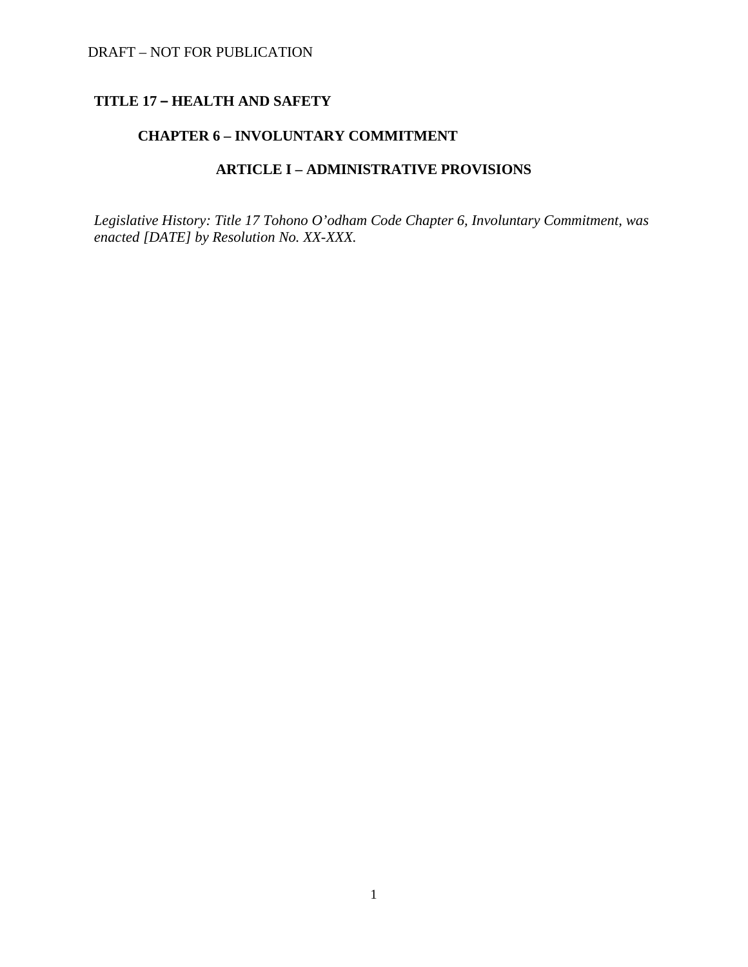#### DRAFT – NOT FOR PUBLICATION

### **TITLE 17 – HEALTH AND SAFETY**

### **CHAPTER 6 – INVOLUNTARY COMMITMENT**

### **ARTICLE I – ADMINISTRATIVE PROVISIONS**

*Legislative History: Title 17 Tohono O'odham Code Chapter 6, Involuntary Commitment, was enacted [DATE] by Resolution No. XX-XXX.*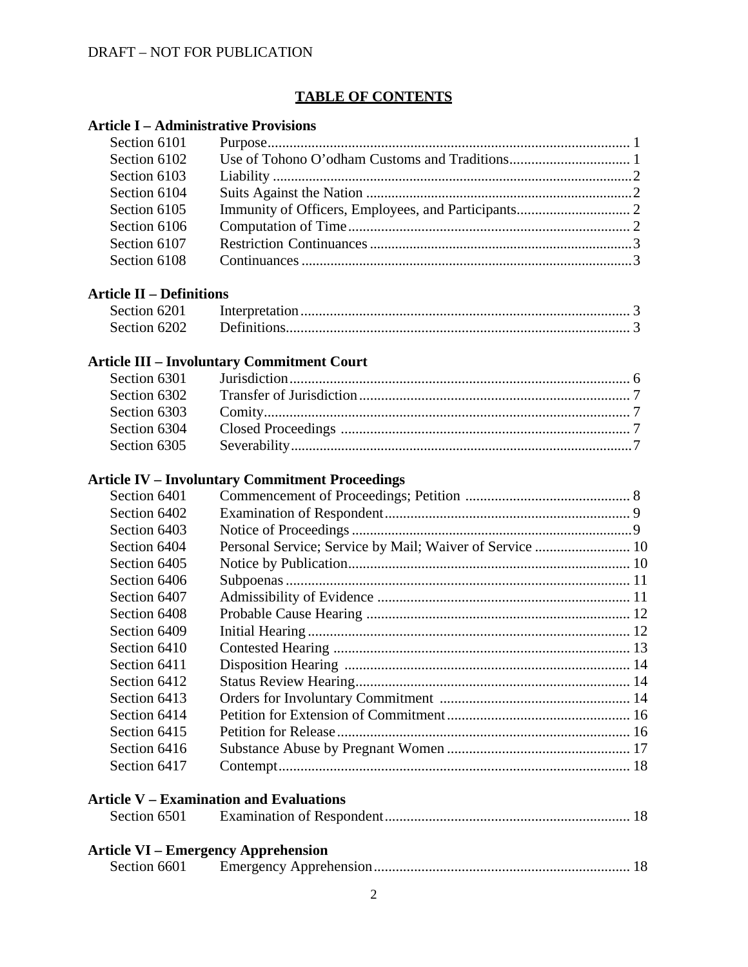# **TABLE OF CONTENTS**

### **Article I – Administrative Provisions**

| Section 6101 |  |
|--------------|--|
| Section 6102 |  |
| Section 6103 |  |
| Section 6104 |  |
| Section 6105 |  |
| Section 6106 |  |
| Section 6107 |  |
| Section 6108 |  |
|              |  |

### **Article II – Definitions**

| Section 6201 |  |
|--------------|--|
| Section 6202 |  |

# **Article III – Involuntary Commitment Court**

# **Article IV – Involuntary Commitment Proceedings**

| Section 6401 |                                                          |  |
|--------------|----------------------------------------------------------|--|
| Section 6402 |                                                          |  |
| Section 6403 |                                                          |  |
| Section 6404 | Personal Service; Service by Mail; Waiver of Service  10 |  |
| Section 6405 |                                                          |  |
| Section 6406 |                                                          |  |
| Section 6407 |                                                          |  |
| Section 6408 |                                                          |  |
| Section 6409 |                                                          |  |
| Section 6410 |                                                          |  |
| Section 6411 |                                                          |  |
| Section 6412 |                                                          |  |
| Section 6413 |                                                          |  |
| Section 6414 |                                                          |  |
| Section 6415 |                                                          |  |
| Section 6416 |                                                          |  |
| Section 6417 |                                                          |  |

### **Article V – Examination and Evaluations**

| Section 6501 |  |
|--------------|--|
|--------------|--|

# **Article VI – Emergency Apprehension**

| Section 6601 |  |  |
|--------------|--|--|
|--------------|--|--|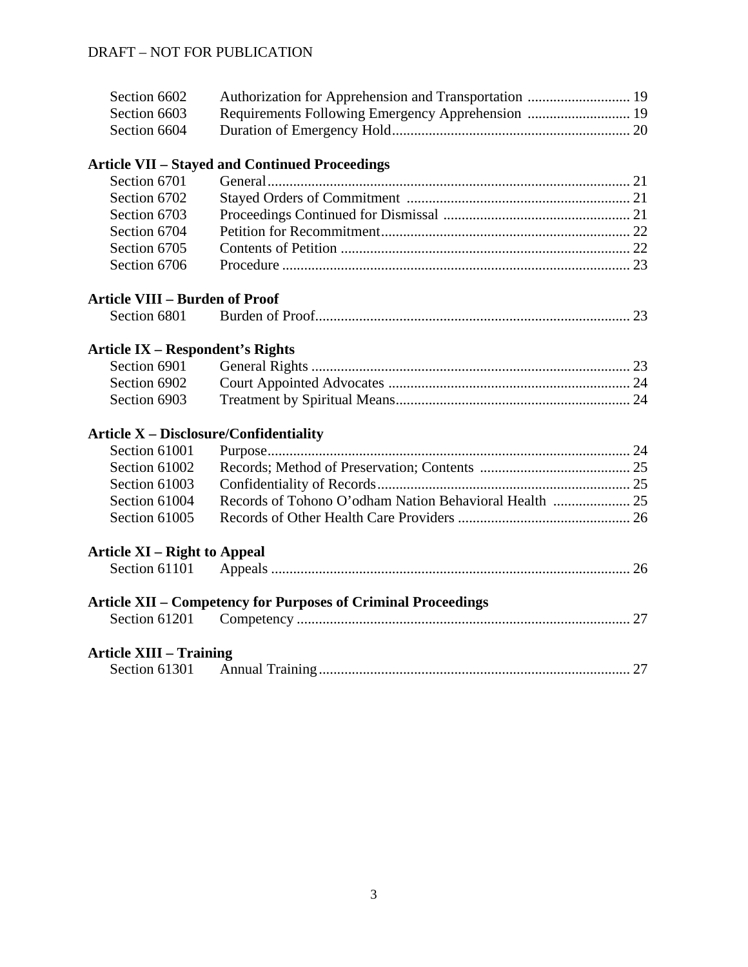| Section 6602 |  |
|--------------|--|
| Section 6603 |  |
| Section 6604 |  |

# **Article VII – Stayed and Continued Proceedings**

| Section 6701 |  |
|--------------|--|
| Section 6702 |  |
| Section 6703 |  |
| Section 6704 |  |
| Section 6705 |  |
|              |  |

### **Article VIII – Burden of Proof**

# **Article IX – Respondent's Rights**

| Section 6901 |  |
|--------------|--|
|              |  |
| Section 6903 |  |

# **Article X – Disclosure/Confidentiality**

| Section 61002 |  |
|---------------|--|
|               |  |
| Section 61004 |  |
| Section 61005 |  |
|               |  |

# **Article XI – Right to Appeal**

| <b>Article XII – Competency for Purposes of Criminal Proceedings</b> |  |  |  |
|----------------------------------------------------------------------|--|--|--|
|                                                                      |  |  |  |

### **Article XIII – Training**

| Section 61301 |  |
|---------------|--|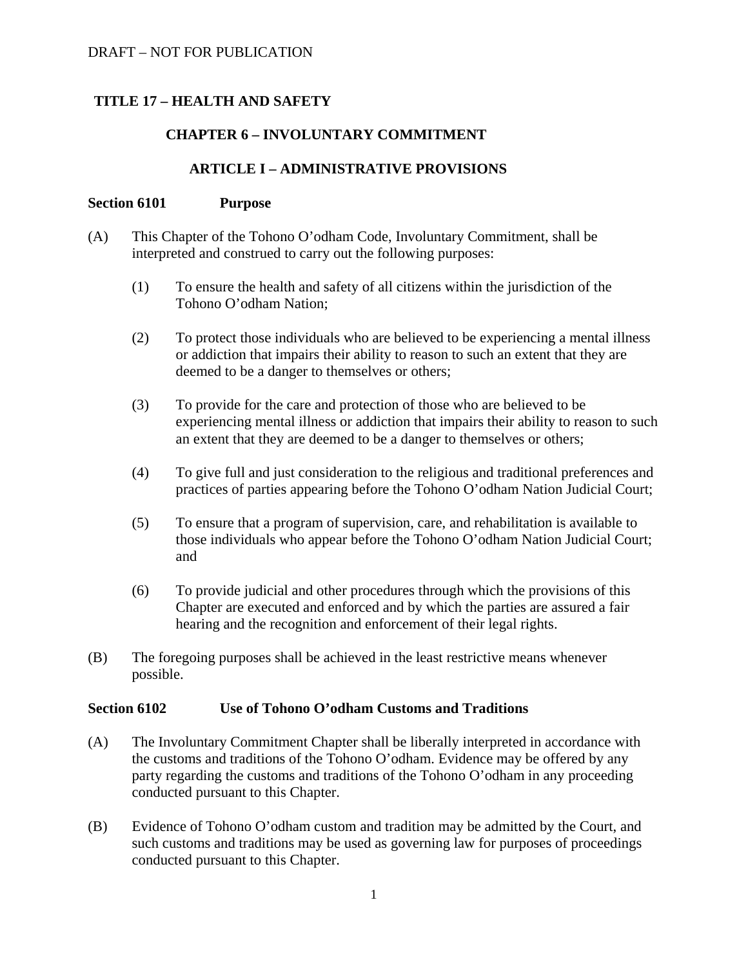# **TITLE 17 – HEALTH AND SAFETY**

### **CHAPTER 6 – INVOLUNTARY COMMITMENT**

### **ARTICLE I – ADMINISTRATIVE PROVISIONS**

#### **Section 6101 Purpose**

- (A) This Chapter of the Tohono O'odham Code, Involuntary Commitment, shall be interpreted and construed to carry out the following purposes:
	- (1) To ensure the health and safety of all citizens within the jurisdiction of the Tohono O'odham Nation;
	- (2) To protect those individuals who are believed to be experiencing a mental illness or addiction that impairs their ability to reason to such an extent that they are deemed to be a danger to themselves or others;
	- (3) To provide for the care and protection of those who are believed to be experiencing mental illness or addiction that impairs their ability to reason to such an extent that they are deemed to be a danger to themselves or others;
	- (4) To give full and just consideration to the religious and traditional preferences and practices of parties appearing before the Tohono O'odham Nation Judicial Court;
	- (5) To ensure that a program of supervision, care, and rehabilitation is available to those individuals who appear before the Tohono O'odham Nation Judicial Court; and
	- (6) To provide judicial and other procedures through which the provisions of this Chapter are executed and enforced and by which the parties are assured a fair hearing and the recognition and enforcement of their legal rights.
- (B) The foregoing purposes shall be achieved in the least restrictive means whenever possible.

### **Section 6102 Use of Tohono O'odham Customs and Traditions**

- (A) The Involuntary Commitment Chapter shall be liberally interpreted in accordance with the customs and traditions of the Tohono O'odham. Evidence may be offered by any party regarding the customs and traditions of the Tohono O'odham in any proceeding conducted pursuant to this Chapter.
- (B) Evidence of Tohono O'odham custom and tradition may be admitted by the Court, and such customs and traditions may be used as governing law for purposes of proceedings conducted pursuant to this Chapter.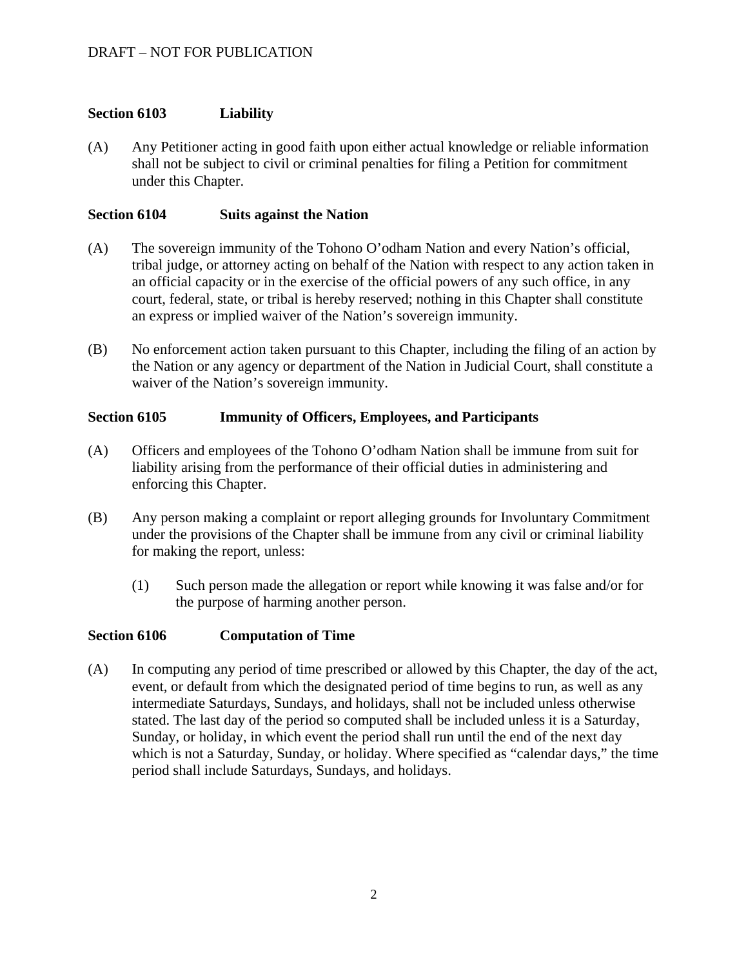### **Section 6103 Liability**

(A) Any Petitioner acting in good faith upon either actual knowledge or reliable information shall not be subject to civil or criminal penalties for filing a Petition for commitment under this Chapter.

### **Section 6104 Suits against the Nation**

- (A) The sovereign immunity of the Tohono O'odham Nation and every Nation's official, tribal judge, or attorney acting on behalf of the Nation with respect to any action taken in an official capacity or in the exercise of the official powers of any such office, in any court, federal, state, or tribal is hereby reserved; nothing in this Chapter shall constitute an express or implied waiver of the Nation's sovereign immunity.
- (B) No enforcement action taken pursuant to this Chapter, including the filing of an action by the Nation or any agency or department of the Nation in Judicial Court, shall constitute a waiver of the Nation's sovereign immunity.

### **Section 6105 Immunity of Officers, Employees, and Participants**

- (A) Officers and employees of the Tohono O'odham Nation shall be immune from suit for liability arising from the performance of their official duties in administering and enforcing this Chapter.
- (B) Any person making a complaint or report alleging grounds for Involuntary Commitment under the provisions of the Chapter shall be immune from any civil or criminal liability for making the report, unless:
	- (1) Such person made the allegation or report while knowing it was false and/or for the purpose of harming another person.

### **Section 6106 Computation of Time**

(A) In computing any period of time prescribed or allowed by this Chapter, the day of the act, event, or default from which the designated period of time begins to run, as well as any intermediate Saturdays, Sundays, and holidays, shall not be included unless otherwise stated. The last day of the period so computed shall be included unless it is a Saturday, Sunday, or holiday, in which event the period shall run until the end of the next day which is not a Saturday, Sunday, or holiday. Where specified as "calendar days," the time period shall include Saturdays, Sundays, and holidays.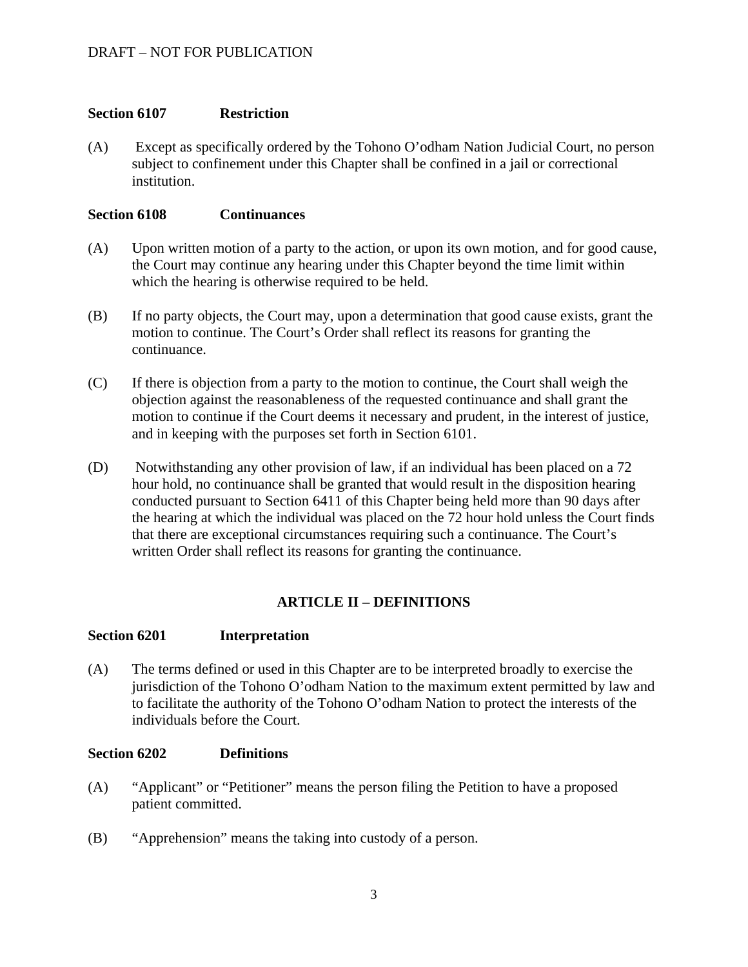### **Section 6107 Restriction**

(A) Except as specifically ordered by the Tohono O'odham Nation Judicial Court, no person subject to confinement under this Chapter shall be confined in a jail or correctional institution.

### **Section 6108 Continuances**

- (A) Upon written motion of a party to the action, or upon its own motion, and for good cause, the Court may continue any hearing under this Chapter beyond the time limit within which the hearing is otherwise required to be held.
- (B) If no party objects, the Court may, upon a determination that good cause exists, grant the motion to continue. The Court's Order shall reflect its reasons for granting the continuance.
- (C) If there is objection from a party to the motion to continue, the Court shall weigh the objection against the reasonableness of the requested continuance and shall grant the motion to continue if the Court deems it necessary and prudent, in the interest of justice, and in keeping with the purposes set forth in Section 6101.
- (D) Notwithstanding any other provision of law, if an individual has been placed on a 72 hour hold, no continuance shall be granted that would result in the disposition hearing conducted pursuant to Section 6411 of this Chapter being held more than 90 days after the hearing at which the individual was placed on the 72 hour hold unless the Court finds that there are exceptional circumstances requiring such a continuance. The Court's written Order shall reflect its reasons for granting the continuance.

### **ARTICLE II – DEFINITIONS**

### **Section 6201 Interpretation**

(A) The terms defined or used in this Chapter are to be interpreted broadly to exercise the jurisdiction of the Tohono O'odham Nation to the maximum extent permitted by law and to facilitate the authority of the Tohono O'odham Nation to protect the interests of the individuals before the Court.

### **Section 6202 Definitions**

- (A) "Applicant" or "Petitioner" means the person filing the Petition to have a proposed patient committed.
- (B) "Apprehension" means the taking into custody of a person.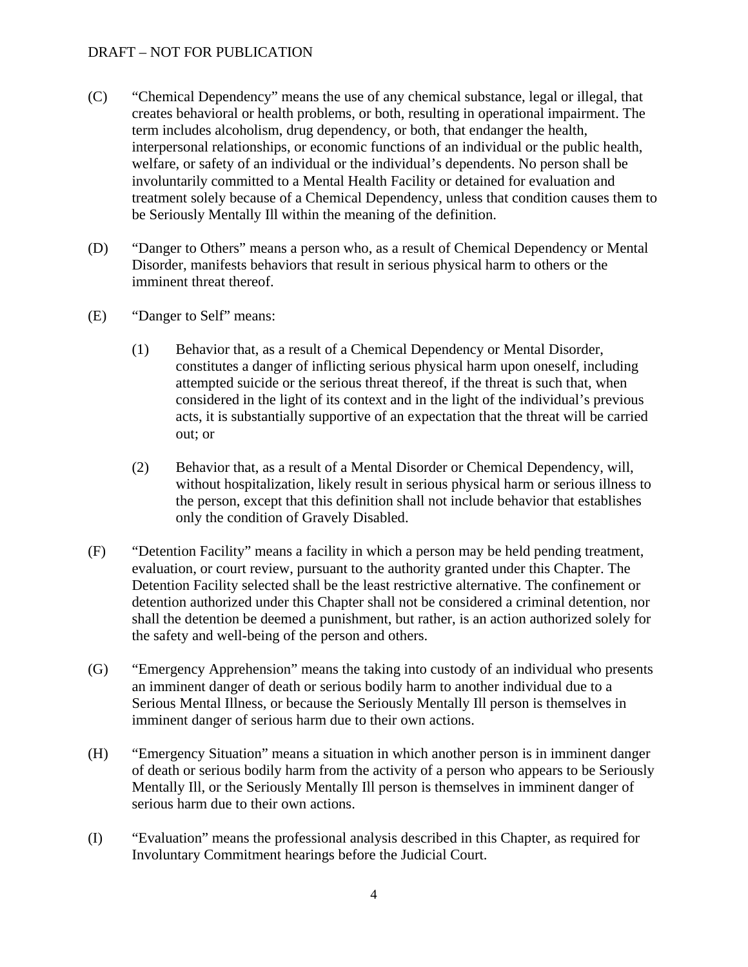### DRAFT – NOT FOR PUBLICATION

- (C) "Chemical Dependency" means the use of any chemical substance, legal or illegal, that creates behavioral or health problems, or both, resulting in operational impairment. The term includes alcoholism, drug dependency, or both, that endanger the health, interpersonal relationships, or economic functions of an individual or the public health, welfare, or safety of an individual or the individual's dependents. No person shall be involuntarily committed to a Mental Health Facility or detained for evaluation and treatment solely because of a Chemical Dependency, unless that condition causes them to be Seriously Mentally Ill within the meaning of the definition.
- (D) "Danger to Others" means a person who, as a result of Chemical Dependency or Mental Disorder, manifests behaviors that result in serious physical harm to others or the imminent threat thereof.
- (E) "Danger to Self" means:
	- (1) Behavior that, as a result of a Chemical Dependency or Mental Disorder, constitutes a danger of inflicting serious physical harm upon oneself, including attempted suicide or the serious threat thereof, if the threat is such that, when considered in the light of its context and in the light of the individual's previous acts, it is substantially supportive of an expectation that the threat will be carried out; or
	- (2) Behavior that, as a result of a Mental Disorder or Chemical Dependency, will, without hospitalization, likely result in serious physical harm or serious illness to the person, except that this definition shall not include behavior that establishes only the condition of Gravely Disabled.
- (F) "Detention Facility" means a facility in which a person may be held pending treatment, evaluation, or court review, pursuant to the authority granted under this Chapter. The Detention Facility selected shall be the least restrictive alternative. The confinement or detention authorized under this Chapter shall not be considered a criminal detention, nor shall the detention be deemed a punishment, but rather, is an action authorized solely for the safety and well-being of the person and others.
- (G) "Emergency Apprehension" means the taking into custody of an individual who presents an imminent danger of death or serious bodily harm to another individual due to a Serious Mental Illness, or because the Seriously Mentally Ill person is themselves in imminent danger of serious harm due to their own actions.
- (H) "Emergency Situation" means a situation in which another person is in imminent danger of death or serious bodily harm from the activity of a person who appears to be Seriously Mentally Ill, or the Seriously Mentally Ill person is themselves in imminent danger of serious harm due to their own actions.
- (I) "Evaluation" means the professional analysis described in this Chapter, as required for Involuntary Commitment hearings before the Judicial Court.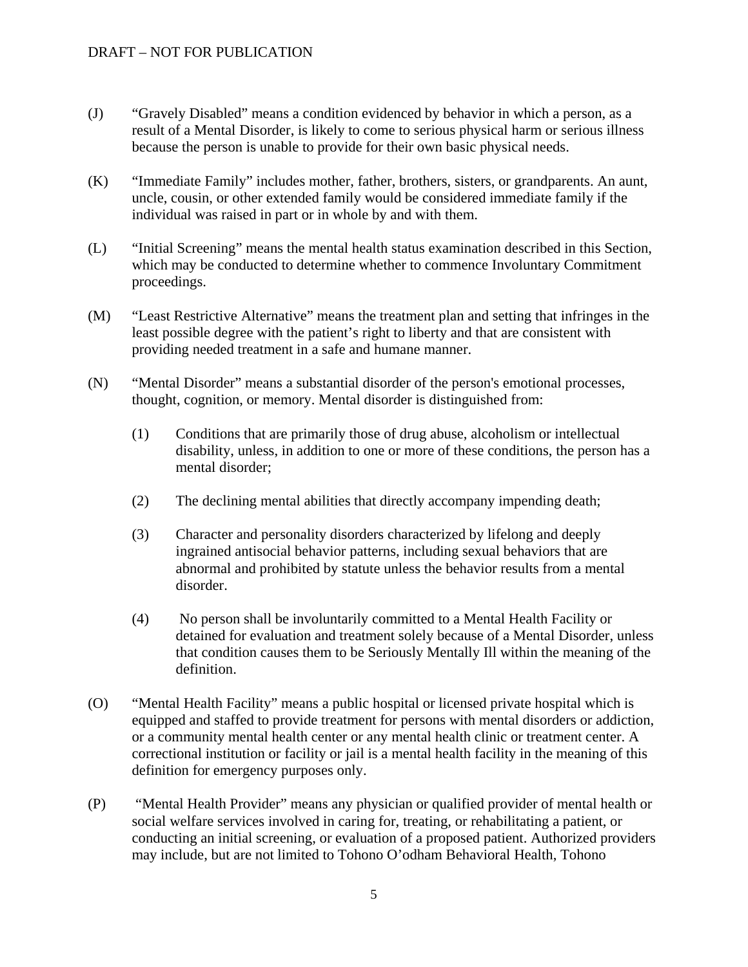- (J) "Gravely Disabled" means a condition evidenced by behavior in which a person, as a result of a Mental Disorder, is likely to come to serious physical harm or serious illness because the person is unable to provide for their own basic physical needs.
- (K) "Immediate Family" includes mother, father, brothers, sisters, or grandparents. An aunt, uncle, cousin, or other extended family would be considered immediate family if the individual was raised in part or in whole by and with them.
- (L) "Initial Screening" means the mental health status examination described in this Section, which may be conducted to determine whether to commence Involuntary Commitment proceedings.
- (M) "Least Restrictive Alternative" means the treatment plan and setting that infringes in the least possible degree with the patient's right to liberty and that are consistent with providing needed treatment in a safe and humane manner.
- (N) "Mental Disorder" means a substantial disorder of the person's emotional processes, thought, cognition, or memory. Mental disorder is distinguished from:
	- (1) Conditions that are primarily those of drug abuse, alcoholism or intellectual disability, unless, in addition to one or more of these conditions, the person has a mental disorder;
	- (2) The declining mental abilities that directly accompany impending death;
	- (3) Character and personality disorders characterized by lifelong and deeply ingrained antisocial behavior patterns, including sexual behaviors that are abnormal and prohibited by statute unless the behavior results from a mental disorder.
	- (4) No person shall be involuntarily committed to a Mental Health Facility or detained for evaluation and treatment solely because of a Mental Disorder, unless that condition causes them to be Seriously Mentally Ill within the meaning of the definition.
- (O) "Mental Health Facility" means a public hospital or licensed private hospital which is equipped and staffed to provide treatment for persons with mental disorders or addiction, or a community mental health center or any mental health clinic or treatment center. A correctional institution or facility or jail is a mental health facility in the meaning of this definition for emergency purposes only.
- (P) "Mental Health Provider" means any physician or qualified provider of mental health or social welfare services involved in caring for, treating, or rehabilitating a patient, or conducting an initial screening, or evaluation of a proposed patient. Authorized providers may include, but are not limited to Tohono O'odham Behavioral Health, Tohono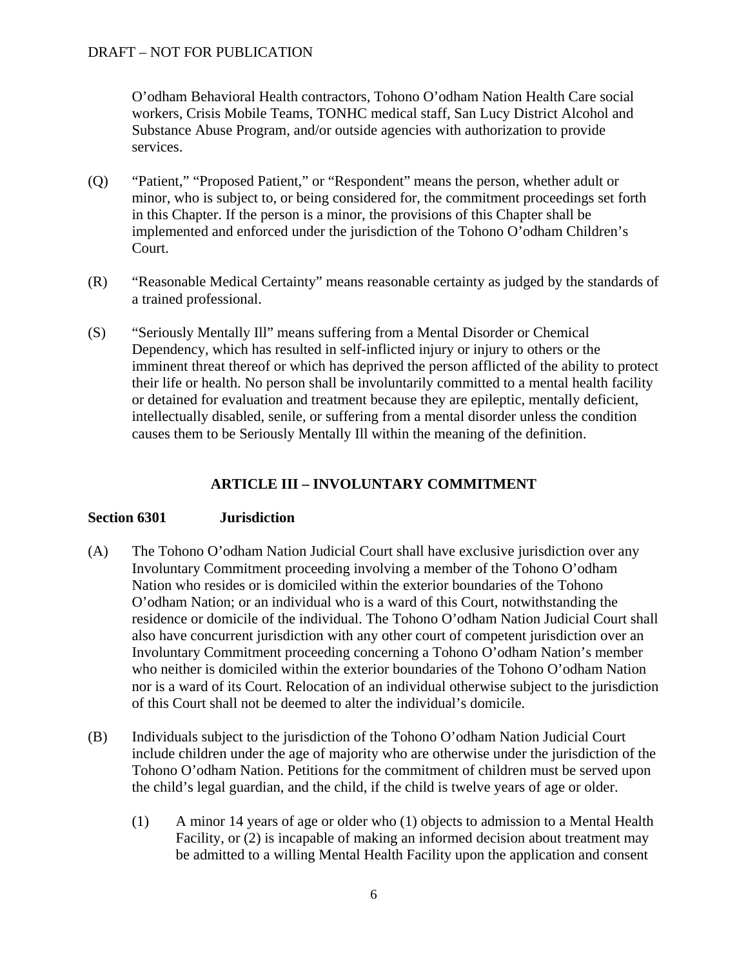O'odham Behavioral Health contractors, Tohono O'odham Nation Health Care social workers, Crisis Mobile Teams, TONHC medical staff, San Lucy District Alcohol and Substance Abuse Program, and/or outside agencies with authorization to provide services.

- (Q) "Patient," "Proposed Patient," or "Respondent" means the person, whether adult or minor, who is subject to, or being considered for, the commitment proceedings set forth in this Chapter. If the person is a minor, the provisions of this Chapter shall be implemented and enforced under the jurisdiction of the Tohono O'odham Children's Court.
- (R) "Reasonable Medical Certainty" means reasonable certainty as judged by the standards of a trained professional.
- (S) "Seriously Mentally Ill" means suffering from a Mental Disorder or Chemical Dependency, which has resulted in self-inflicted injury or injury to others or the imminent threat thereof or which has deprived the person afflicted of the ability to protect their life or health. No person shall be involuntarily committed to a mental health facility or detained for evaluation and treatment because they are epileptic, mentally deficient, intellectually disabled, senile, or suffering from a mental disorder unless the condition causes them to be Seriously Mentally Ill within the meaning of the definition.

# **ARTICLE III – INVOLUNTARY COMMITMENT**

### **Section 6301 Jurisdiction**

- (A) The Tohono O'odham Nation Judicial Court shall have exclusive jurisdiction over any Involuntary Commitment proceeding involving a member of the Tohono O'odham Nation who resides or is domiciled within the exterior boundaries of the Tohono O'odham Nation; or an individual who is a ward of this Court, notwithstanding the residence or domicile of the individual. The Tohono O'odham Nation Judicial Court shall also have concurrent jurisdiction with any other court of competent jurisdiction over an Involuntary Commitment proceeding concerning a Tohono O'odham Nation's member who neither is domiciled within the exterior boundaries of the Tohono O'odham Nation nor is a ward of its Court. Relocation of an individual otherwise subject to the jurisdiction of this Court shall not be deemed to alter the individual's domicile.
- (B) Individuals subject to the jurisdiction of the Tohono O'odham Nation Judicial Court include children under the age of majority who are otherwise under the jurisdiction of the Tohono O'odham Nation. Petitions for the commitment of children must be served upon the child's legal guardian, and the child, if the child is twelve years of age or older.
	- (1) A minor 14 years of age or older who (1) objects to admission to a Mental Health Facility, or (2) is incapable of making an informed decision about treatment may be admitted to a willing Mental Health Facility upon the application and consent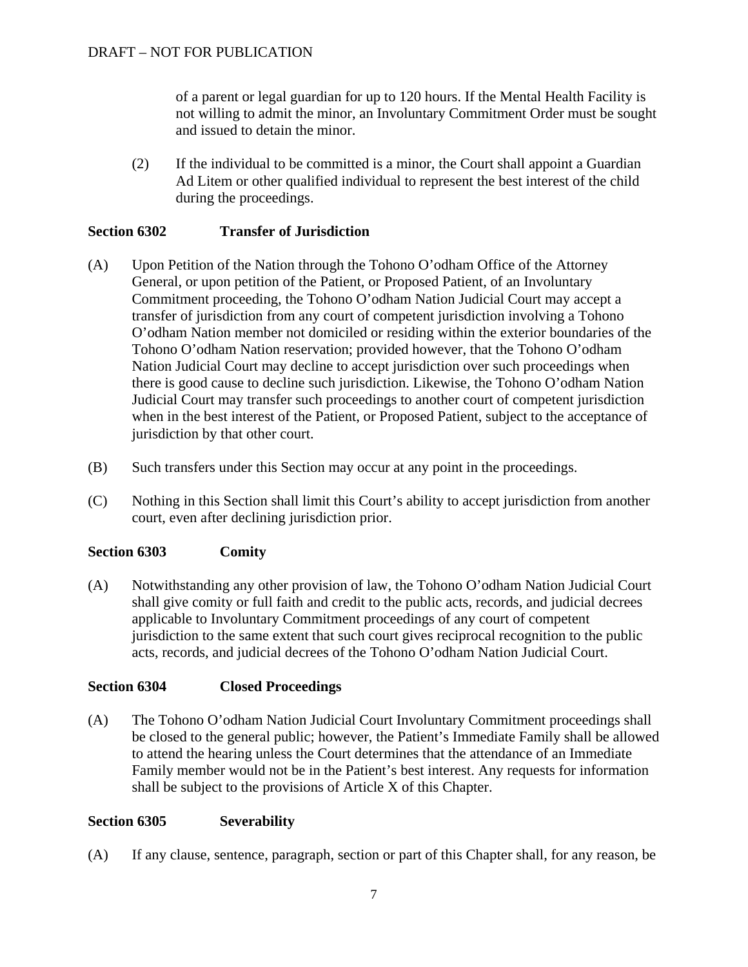of a parent or legal guardian for up to 120 hours. If the Mental Health Facility is not willing to admit the minor, an Involuntary Commitment Order must be sought and issued to detain the minor.

(2) If the individual to be committed is a minor, the Court shall appoint a Guardian Ad Litem or other qualified individual to represent the best interest of the child during the proceedings.

### **Section 6302 Transfer of Jurisdiction**

- (A) Upon Petition of the Nation through the Tohono O'odham Office of the Attorney General, or upon petition of the Patient, or Proposed Patient, of an Involuntary Commitment proceeding, the Tohono O'odham Nation Judicial Court may accept a transfer of jurisdiction from any court of competent jurisdiction involving a Tohono O'odham Nation member not domiciled or residing within the exterior boundaries of the Tohono O'odham Nation reservation; provided however, that the Tohono O'odham Nation Judicial Court may decline to accept jurisdiction over such proceedings when there is good cause to decline such jurisdiction. Likewise, the Tohono O'odham Nation Judicial Court may transfer such proceedings to another court of competent jurisdiction when in the best interest of the Patient, or Proposed Patient, subject to the acceptance of jurisdiction by that other court.
- (B) Such transfers under this Section may occur at any point in the proceedings.
- (C) Nothing in this Section shall limit this Court's ability to accept jurisdiction from another court, even after declining jurisdiction prior.

### **Section 6303 Comity**

(A) Notwithstanding any other provision of law, the Tohono O'odham Nation Judicial Court shall give comity or full faith and credit to the public acts, records, and judicial decrees applicable to Involuntary Commitment proceedings of any court of competent jurisdiction to the same extent that such court gives reciprocal recognition to the public acts, records, and judicial decrees of the Tohono O'odham Nation Judicial Court.

### **Section 6304 Closed Proceedings**

(A) The Tohono O'odham Nation Judicial Court Involuntary Commitment proceedings shall be closed to the general public; however, the Patient's Immediate Family shall be allowed to attend the hearing unless the Court determines that the attendance of an Immediate Family member would not be in the Patient's best interest. Any requests for information shall be subject to the provisions of Article X of this Chapter.

### **Section 6305 Severability**

(A) If any clause, sentence, paragraph, section or part of this Chapter shall, for any reason, be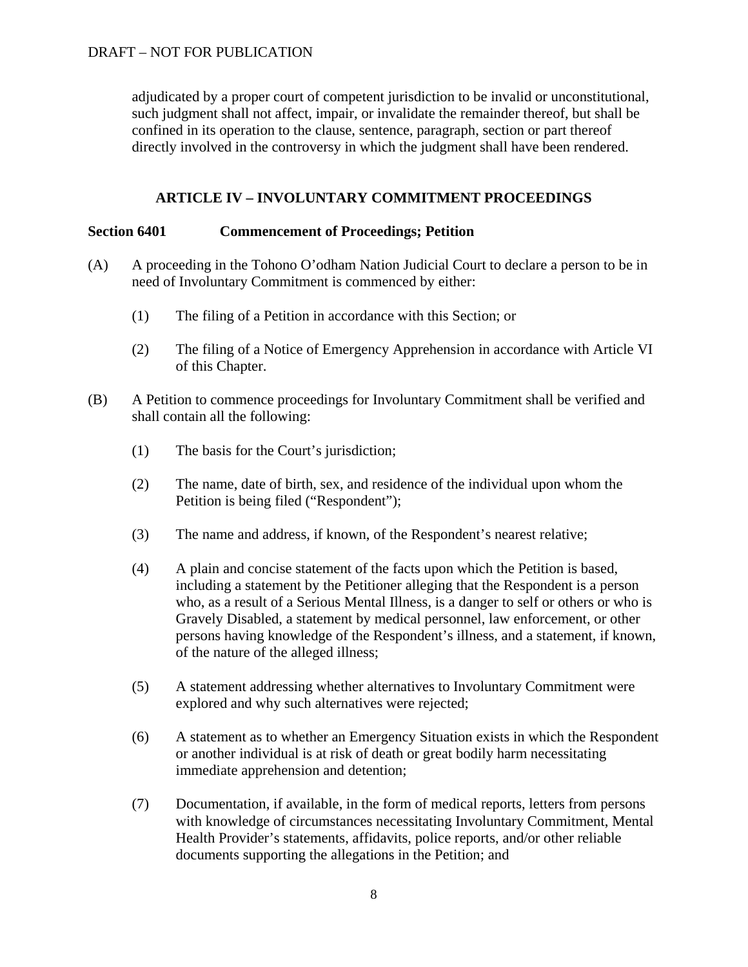adjudicated by a proper court of competent jurisdiction to be invalid or unconstitutional, such judgment shall not affect, impair, or invalidate the remainder thereof, but shall be confined in its operation to the clause, sentence, paragraph, section or part thereof directly involved in the controversy in which the judgment shall have been rendered.

### **ARTICLE IV – INVOLUNTARY COMMITMENT PROCEEDINGS**

### **Section 6401 Commencement of Proceedings; Petition**

- (A) A proceeding in the Tohono O'odham Nation Judicial Court to declare a person to be in need of Involuntary Commitment is commenced by either:
	- (1) The filing of a Petition in accordance with this Section; or
	- (2) The filing of a Notice of Emergency Apprehension in accordance with Article VI of this Chapter.
- (B) A Petition to commence proceedings for Involuntary Commitment shall be verified and shall contain all the following:
	- (1) The basis for the Court's jurisdiction;
	- (2) The name, date of birth, sex, and residence of the individual upon whom the Petition is being filed ("Respondent");
	- (3) The name and address, if known, of the Respondent's nearest relative;
	- (4) A plain and concise statement of the facts upon which the Petition is based, including a statement by the Petitioner alleging that the Respondent is a person who, as a result of a Serious Mental Illness, is a danger to self or others or who is Gravely Disabled, a statement by medical personnel, law enforcement, or other persons having knowledge of the Respondent's illness, and a statement, if known, of the nature of the alleged illness;
	- (5) A statement addressing whether alternatives to Involuntary Commitment were explored and why such alternatives were rejected;
	- (6) A statement as to whether an Emergency Situation exists in which the Respondent or another individual is at risk of death or great bodily harm necessitating immediate apprehension and detention;
	- (7) Documentation, if available, in the form of medical reports, letters from persons with knowledge of circumstances necessitating Involuntary Commitment, Mental Health Provider's statements, affidavits, police reports, and/or other reliable documents supporting the allegations in the Petition; and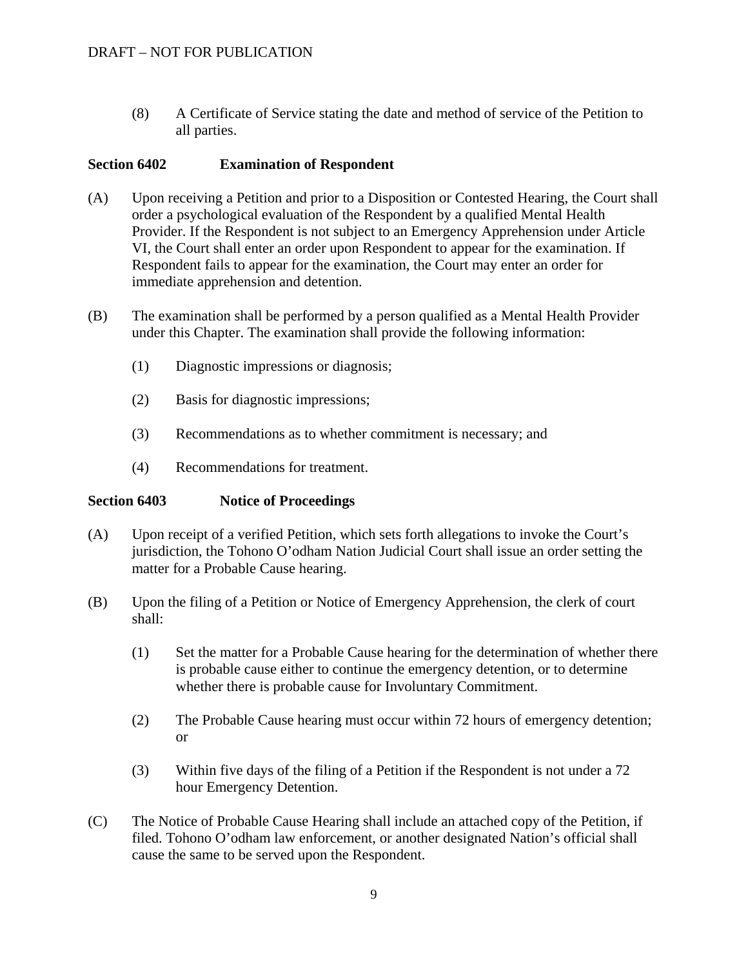(8) A Certificate of Service stating the date and method of service of the Petition to all parties.

### **Section 6402 Examination of Respondent**

- (A) Upon receiving a Petition and prior to a Disposition or Contested Hearing, the Court shall order a psychological evaluation of the Respondent by a qualified Mental Health Provider. If the Respondent is not subject to an Emergency Apprehension under Article VI, the Court shall enter an order upon Respondent to appear for the examination. If Respondent fails to appear for the examination, the Court may enter an order for immediate apprehension and detention.
- (B) The examination shall be performed by a person qualified as a Mental Health Provider under this Chapter. The examination shall provide the following information:
	- (1) Diagnostic impressions or diagnosis;
	- (2) Basis for diagnostic impressions;
	- (3) Recommendations as to whether commitment is necessary; and
	- (4) Recommendations for treatment.

### **Section 6403 Notice of Proceedings**

- (A) Upon receipt of a verified Petition, which sets forth allegations to invoke the Court's jurisdiction, the Tohono O'odham Nation Judicial Court shall issue an order setting the matter for a Probable Cause hearing.
- (B) Upon the filing of a Petition or Notice of Emergency Apprehension, the clerk of court shall:
	- (1) Set the matter for a Probable Cause hearing for the determination of whether there is probable cause either to continue the emergency detention, or to determine whether there is probable cause for Involuntary Commitment.
	- (2) The Probable Cause hearing must occur within 72 hours of emergency detention; or
	- (3) Within five days of the filing of a Petition if the Respondent is not under a 72 hour Emergency Detention.
- (C) The Notice of Probable Cause Hearing shall include an attached copy of the Petition, if filed. Tohono O'odham law enforcement, or another designated Nation's official shall cause the same to be served upon the Respondent.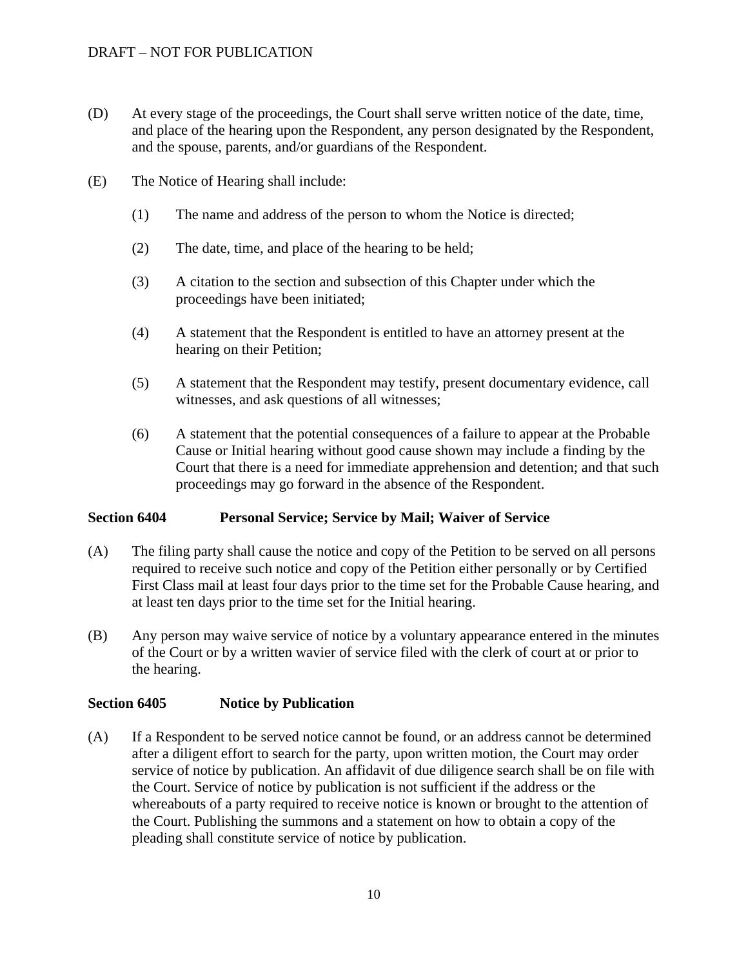- (D) At every stage of the proceedings, the Court shall serve written notice of the date, time, and place of the hearing upon the Respondent, any person designated by the Respondent, and the spouse, parents, and/or guardians of the Respondent.
- (E) The Notice of Hearing shall include:
	- (1) The name and address of the person to whom the Notice is directed;
	- (2) The date, time, and place of the hearing to be held;
	- (3) A citation to the section and subsection of this Chapter under which the proceedings have been initiated;
	- (4) A statement that the Respondent is entitled to have an attorney present at the hearing on their Petition;
	- (5) A statement that the Respondent may testify, present documentary evidence, call witnesses, and ask questions of all witnesses;
	- (6) A statement that the potential consequences of a failure to appear at the Probable Cause or Initial hearing without good cause shown may include a finding by the Court that there is a need for immediate apprehension and detention; and that such proceedings may go forward in the absence of the Respondent.

### **Section 6404 Personal Service; Service by Mail; Waiver of Service**

- (A) The filing party shall cause the notice and copy of the Petition to be served on all persons required to receive such notice and copy of the Petition either personally or by Certified First Class mail at least four days prior to the time set for the Probable Cause hearing, and at least ten days prior to the time set for the Initial hearing.
- (B) Any person may waive service of notice by a voluntary appearance entered in the minutes of the Court or by a written wavier of service filed with the clerk of court at or prior to the hearing.

### **Section 6405 Notice by Publication**

(A) If a Respondent to be served notice cannot be found, or an address cannot be determined after a diligent effort to search for the party, upon written motion, the Court may order service of notice by publication. An affidavit of due diligence search shall be on file with the Court. Service of notice by publication is not sufficient if the address or the whereabouts of a party required to receive notice is known or brought to the attention of the Court. Publishing the summons and a statement on how to obtain a copy of the pleading shall constitute service of notice by publication.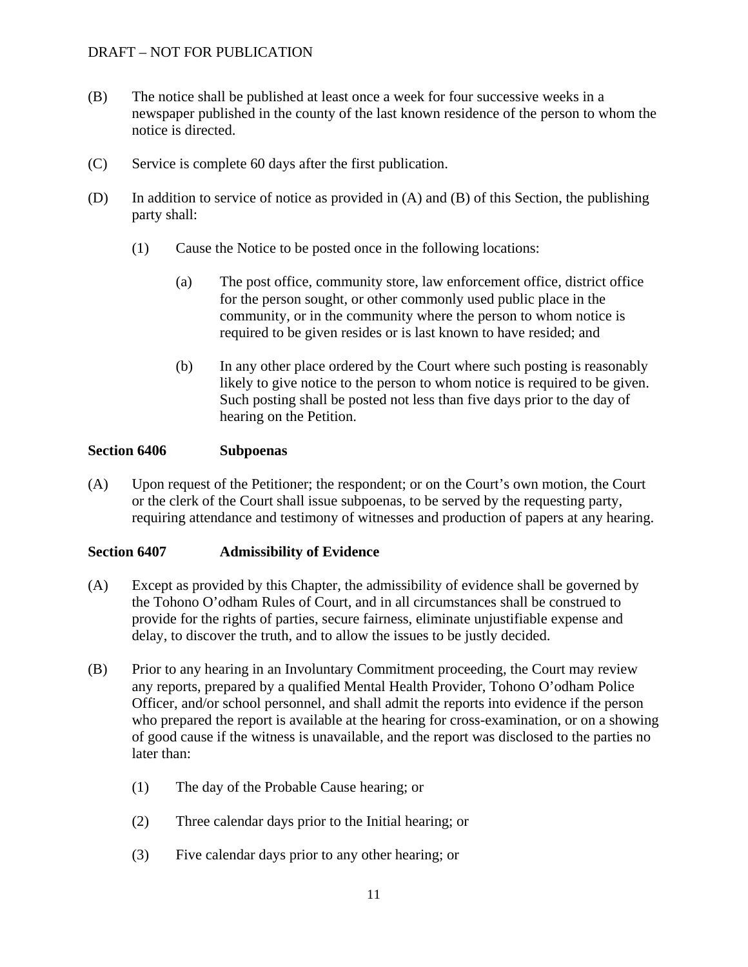### DRAFT – NOT FOR PUBLICATION

- (B) The notice shall be published at least once a week for four successive weeks in a newspaper published in the county of the last known residence of the person to whom the notice is directed.
- (C) Service is complete 60 days after the first publication.
- (D) In addition to service of notice as provided in (A) and (B) of this Section, the publishing party shall:
	- (1) Cause the Notice to be posted once in the following locations:
		- (a) The post office, community store, law enforcement office, district office for the person sought, or other commonly used public place in the community, or in the community where the person to whom notice is required to be given resides or is last known to have resided; and
		- (b) In any other place ordered by the Court where such posting is reasonably likely to give notice to the person to whom notice is required to be given. Such posting shall be posted not less than five days prior to the day of hearing on the Petition.

### **Section 6406 Subpoenas**

(A) Upon request of the Petitioner; the respondent; or on the Court's own motion, the Court or the clerk of the Court shall issue subpoenas, to be served by the requesting party, requiring attendance and testimony of witnesses and production of papers at any hearing.

### **Section 6407 Admissibility of Evidence**

- (A) Except as provided by this Chapter, the admissibility of evidence shall be governed by the Tohono O'odham Rules of Court, and in all circumstances shall be construed to provide for the rights of parties, secure fairness, eliminate unjustifiable expense and delay, to discover the truth, and to allow the issues to be justly decided.
- (B) Prior to any hearing in an Involuntary Commitment proceeding, the Court may review any reports, prepared by a qualified Mental Health Provider, Tohono O'odham Police Officer, and/or school personnel, and shall admit the reports into evidence if the person who prepared the report is available at the hearing for cross-examination, or on a showing of good cause if the witness is unavailable, and the report was disclosed to the parties no later than:
	- (1) The day of the Probable Cause hearing; or
	- (2) Three calendar days prior to the Initial hearing; or
	- (3) Five calendar days prior to any other hearing; or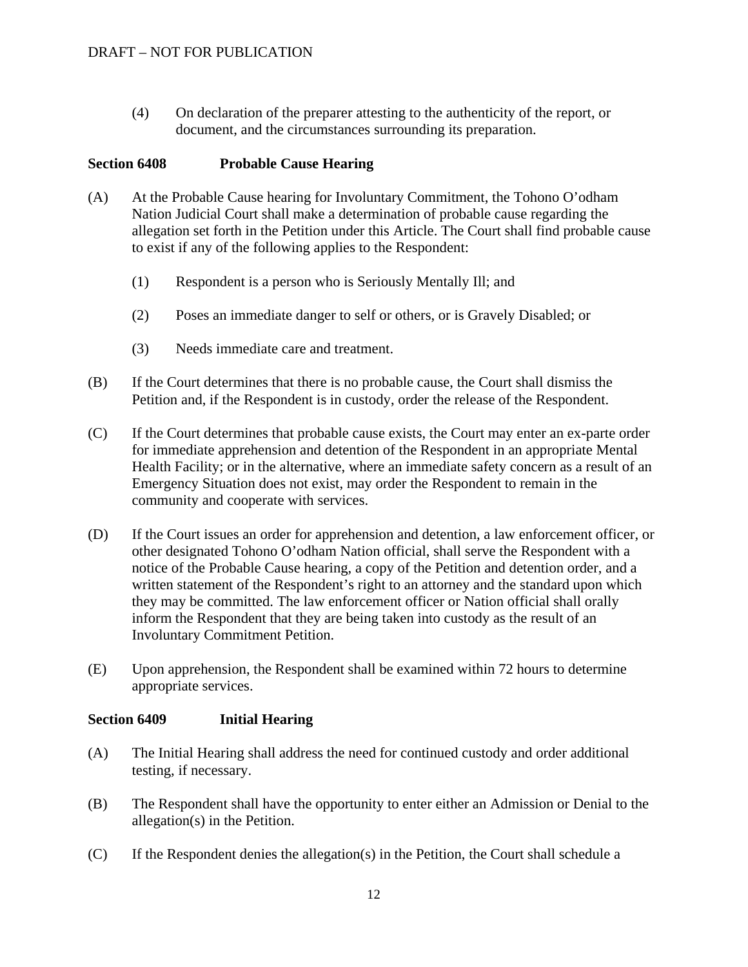(4) On declaration of the preparer attesting to the authenticity of the report, or document, and the circumstances surrounding its preparation.

#### **Section 6408 Probable Cause Hearing**

- (A) At the Probable Cause hearing for Involuntary Commitment, the Tohono O'odham Nation Judicial Court shall make a determination of probable cause regarding the allegation set forth in the Petition under this Article. The Court shall find probable cause to exist if any of the following applies to the Respondent:
	- (1) Respondent is a person who is Seriously Mentally Ill; and
	- (2) Poses an immediate danger to self or others, or is Gravely Disabled; or
	- (3) Needs immediate care and treatment.
- (B) If the Court determines that there is no probable cause, the Court shall dismiss the Petition and, if the Respondent is in custody, order the release of the Respondent.
- (C) If the Court determines that probable cause exists, the Court may enter an ex-parte order for immediate apprehension and detention of the Respondent in an appropriate Mental Health Facility; or in the alternative, where an immediate safety concern as a result of an Emergency Situation does not exist, may order the Respondent to remain in the community and cooperate with services.
- (D) If the Court issues an order for apprehension and detention, a law enforcement officer, or other designated Tohono O'odham Nation official, shall serve the Respondent with a notice of the Probable Cause hearing, a copy of the Petition and detention order, and a written statement of the Respondent's right to an attorney and the standard upon which they may be committed. The law enforcement officer or Nation official shall orally inform the Respondent that they are being taken into custody as the result of an Involuntary Commitment Petition.
- (E) Upon apprehension, the Respondent shall be examined within 72 hours to determine appropriate services.

#### **Section 6409 Initial Hearing**

- (A) The Initial Hearing shall address the need for continued custody and order additional testing, if necessary.
- (B) The Respondent shall have the opportunity to enter either an Admission or Denial to the allegation(s) in the Petition.
- (C) If the Respondent denies the allegation(s) in the Petition, the Court shall schedule a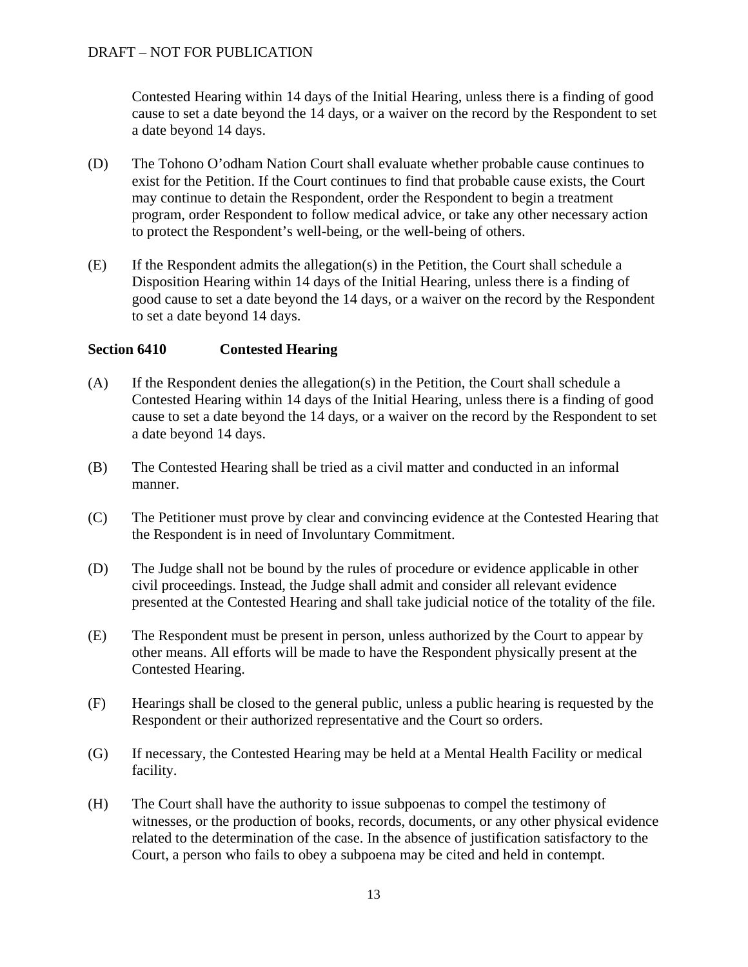Contested Hearing within 14 days of the Initial Hearing, unless there is a finding of good cause to set a date beyond the 14 days, or a waiver on the record by the Respondent to set a date beyond 14 days.

- (D) The Tohono O'odham Nation Court shall evaluate whether probable cause continues to exist for the Petition. If the Court continues to find that probable cause exists, the Court may continue to detain the Respondent, order the Respondent to begin a treatment program, order Respondent to follow medical advice, or take any other necessary action to protect the Respondent's well-being, or the well-being of others.
- (E) If the Respondent admits the allegation(s) in the Petition, the Court shall schedule a Disposition Hearing within 14 days of the Initial Hearing, unless there is a finding of good cause to set a date beyond the 14 days, or a waiver on the record by the Respondent to set a date beyond 14 days.

### **Section 6410 Contested Hearing**

- (A) If the Respondent denies the allegation(s) in the Petition, the Court shall schedule a Contested Hearing within 14 days of the Initial Hearing, unless there is a finding of good cause to set a date beyond the 14 days, or a waiver on the record by the Respondent to set a date beyond 14 days.
- (B) The Contested Hearing shall be tried as a civil matter and conducted in an informal manner.
- (C) The Petitioner must prove by clear and convincing evidence at the Contested Hearing that the Respondent is in need of Involuntary Commitment.
- (D) The Judge shall not be bound by the rules of procedure or evidence applicable in other civil proceedings. Instead, the Judge shall admit and consider all relevant evidence presented at the Contested Hearing and shall take judicial notice of the totality of the file.
- (E) The Respondent must be present in person, unless authorized by the Court to appear by other means. All efforts will be made to have the Respondent physically present at the Contested Hearing.
- (F) Hearings shall be closed to the general public, unless a public hearing is requested by the Respondent or their authorized representative and the Court so orders.
- (G) If necessary, the Contested Hearing may be held at a Mental Health Facility or medical facility.
- (H) The Court shall have the authority to issue subpoenas to compel the testimony of witnesses, or the production of books, records, documents, or any other physical evidence related to the determination of the case. In the absence of justification satisfactory to the Court, a person who fails to obey a subpoena may be cited and held in contempt.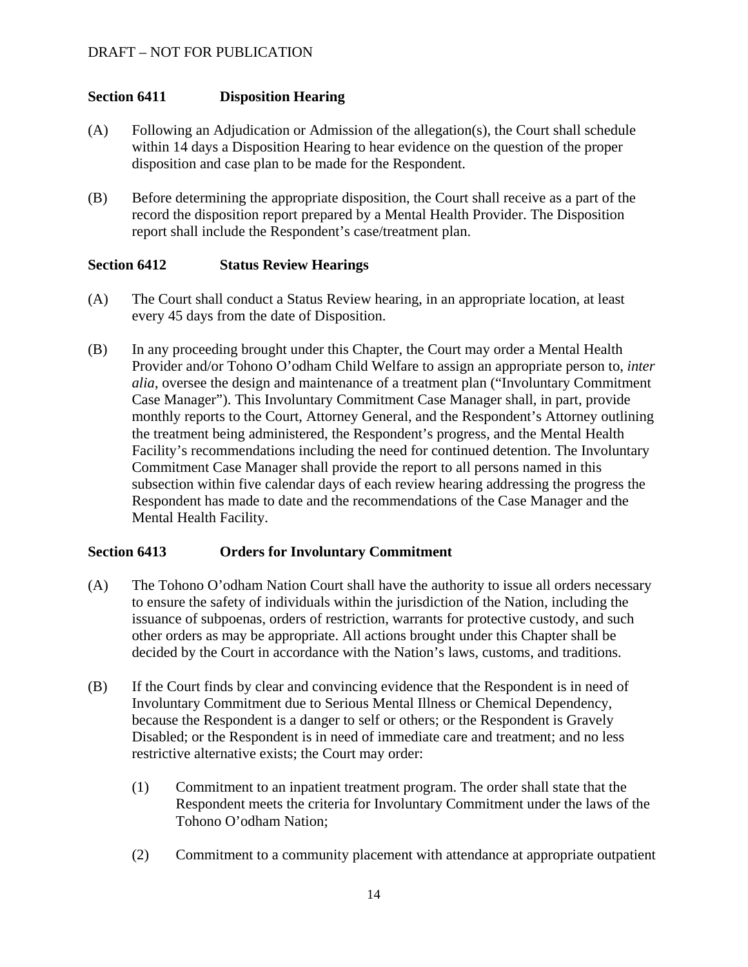### **Section 6411 Disposition Hearing**

- (A) Following an Adjudication or Admission of the allegation(s), the Court shall schedule within 14 days a Disposition Hearing to hear evidence on the question of the proper disposition and case plan to be made for the Respondent.
- (B) Before determining the appropriate disposition, the Court shall receive as a part of the record the disposition report prepared by a Mental Health Provider. The Disposition report shall include the Respondent's case/treatment plan.

### **Section 6412 Status Review Hearings**

- (A) The Court shall conduct a Status Review hearing, in an appropriate location, at least every 45 days from the date of Disposition.
- (B) In any proceeding brought under this Chapter, the Court may order a Mental Health Provider and/or Tohono O'odham Child Welfare to assign an appropriate person to, *inter alia*, oversee the design and maintenance of a treatment plan ("Involuntary Commitment Case Manager"). This Involuntary Commitment Case Manager shall, in part, provide monthly reports to the Court, Attorney General, and the Respondent's Attorney outlining the treatment being administered, the Respondent's progress, and the Mental Health Facility's recommendations including the need for continued detention. The Involuntary Commitment Case Manager shall provide the report to all persons named in this subsection within five calendar days of each review hearing addressing the progress the Respondent has made to date and the recommendations of the Case Manager and the Mental Health Facility.

### **Section 6413 Orders for Involuntary Commitment**

- (A) The Tohono O'odham Nation Court shall have the authority to issue all orders necessary to ensure the safety of individuals within the jurisdiction of the Nation, including the issuance of subpoenas, orders of restriction, warrants for protective custody, and such other orders as may be appropriate. All actions brought under this Chapter shall be decided by the Court in accordance with the Nation's laws, customs, and traditions.
- (B) If the Court finds by clear and convincing evidence that the Respondent is in need of Involuntary Commitment due to Serious Mental Illness or Chemical Dependency, because the Respondent is a danger to self or others; or the Respondent is Gravely Disabled; or the Respondent is in need of immediate care and treatment; and no less restrictive alternative exists; the Court may order:
	- (1) Commitment to an inpatient treatment program. The order shall state that the Respondent meets the criteria for Involuntary Commitment under the laws of the Tohono O'odham Nation;
	- (2) Commitment to a community placement with attendance at appropriate outpatient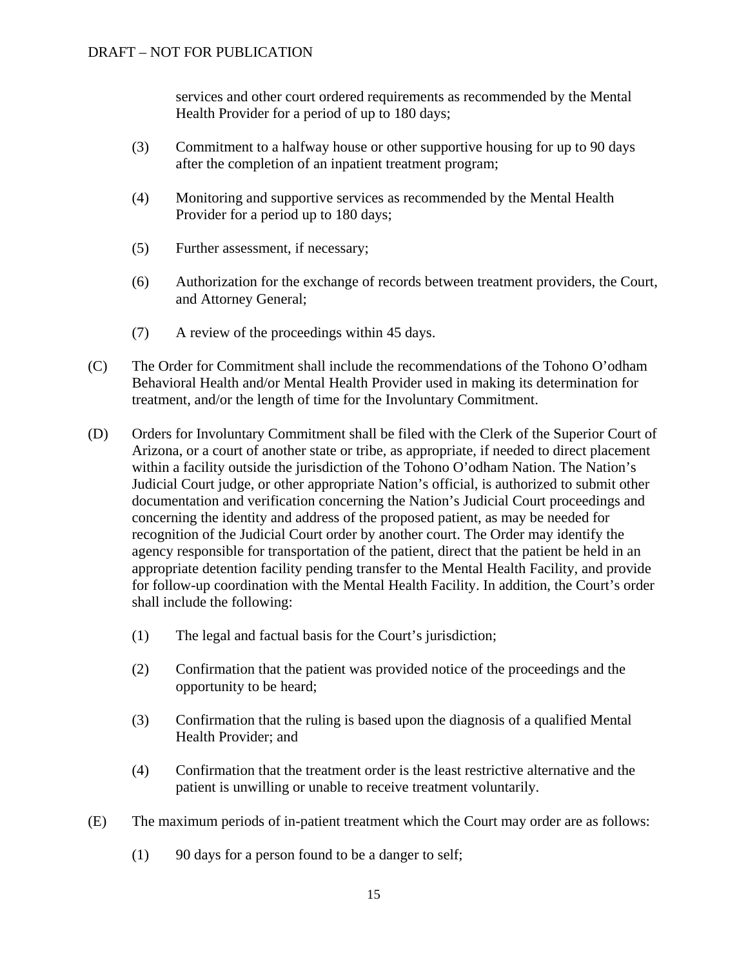services and other court ordered requirements as recommended by the Mental Health Provider for a period of up to 180 days;

- (3) Commitment to a halfway house or other supportive housing for up to 90 days after the completion of an inpatient treatment program;
- (4) Monitoring and supportive services as recommended by the Mental Health Provider for a period up to 180 days;
- (5) Further assessment, if necessary;
- (6) Authorization for the exchange of records between treatment providers, the Court, and Attorney General;
- (7) A review of the proceedings within 45 days.
- (C) The Order for Commitment shall include the recommendations of the Tohono O'odham Behavioral Health and/or Mental Health Provider used in making its determination for treatment, and/or the length of time for the Involuntary Commitment.
- (D) Orders for Involuntary Commitment shall be filed with the Clerk of the Superior Court of Arizona, or a court of another state or tribe, as appropriate, if needed to direct placement within a facility outside the jurisdiction of the Tohono O'odham Nation. The Nation's Judicial Court judge, or other appropriate Nation's official, is authorized to submit other documentation and verification concerning the Nation's Judicial Court proceedings and concerning the identity and address of the proposed patient, as may be needed for recognition of the Judicial Court order by another court. The Order may identify the agency responsible for transportation of the patient, direct that the patient be held in an appropriate detention facility pending transfer to the Mental Health Facility, and provide for follow-up coordination with the Mental Health Facility. In addition, the Court's order shall include the following:
	- (1) The legal and factual basis for the Court's jurisdiction;
	- (2) Confirmation that the patient was provided notice of the proceedings and the opportunity to be heard;
	- (3) Confirmation that the ruling is based upon the diagnosis of a qualified Mental Health Provider; and
	- (4) Confirmation that the treatment order is the least restrictive alternative and the patient is unwilling or unable to receive treatment voluntarily.
- (E) The maximum periods of in-patient treatment which the Court may order are as follows:
	- (1) 90 days for a person found to be a danger to self;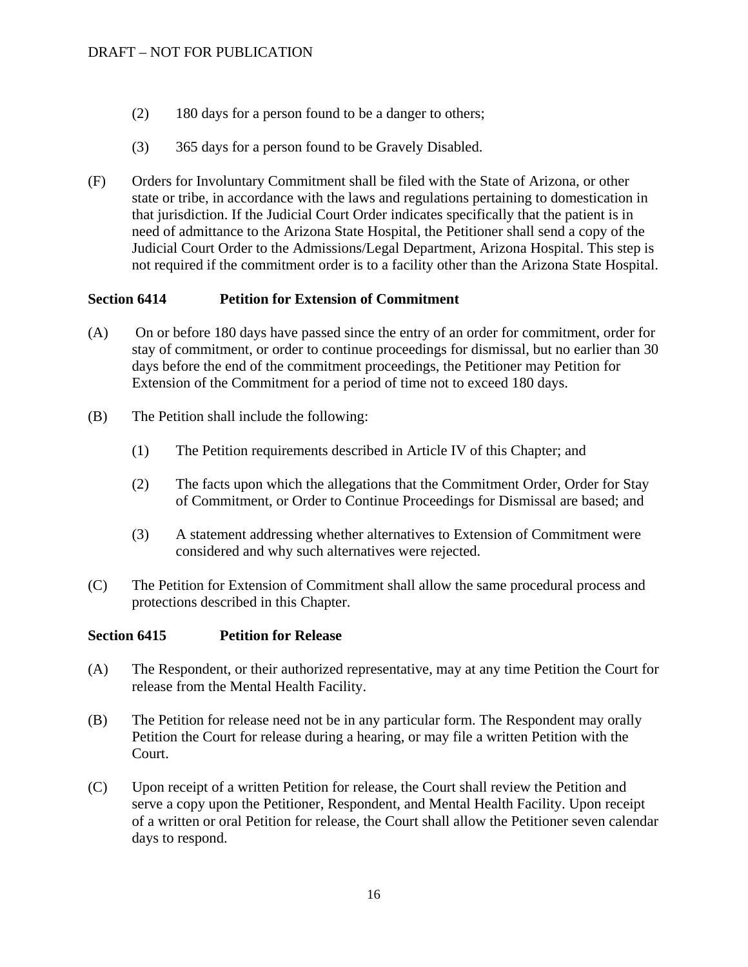- (2) 180 days for a person found to be a danger to others;
- (3) 365 days for a person found to be Gravely Disabled.
- (F) Orders for Involuntary Commitment shall be filed with the State of Arizona, or other state or tribe, in accordance with the laws and regulations pertaining to domestication in that jurisdiction. If the Judicial Court Order indicates specifically that the patient is in need of admittance to the Arizona State Hospital, the Petitioner shall send a copy of the Judicial Court Order to the Admissions/Legal Department, Arizona Hospital. This step is not required if the commitment order is to a facility other than the Arizona State Hospital.

### **Section 6414 Petition for Extension of Commitment**

- (A) On or before 180 days have passed since the entry of an order for commitment, order for stay of commitment, or order to continue proceedings for dismissal, but no earlier than 30 days before the end of the commitment proceedings, the Petitioner may Petition for Extension of the Commitment for a period of time not to exceed 180 days.
- (B) The Petition shall include the following:
	- (1) The Petition requirements described in Article IV of this Chapter; and
	- (2) The facts upon which the allegations that the Commitment Order, Order for Stay of Commitment, or Order to Continue Proceedings for Dismissal are based; and
	- (3) A statement addressing whether alternatives to Extension of Commitment were considered and why such alternatives were rejected.
- (C) The Petition for Extension of Commitment shall allow the same procedural process and protections described in this Chapter.

### **Section 6415 Petition for Release**

- (A) The Respondent, or their authorized representative, may at any time Petition the Court for release from the Mental Health Facility.
- (B) The Petition for release need not be in any particular form. The Respondent may orally Petition the Court for release during a hearing, or may file a written Petition with the Court.
- (C) Upon receipt of a written Petition for release, the Court shall review the Petition and serve a copy upon the Petitioner, Respondent, and Mental Health Facility. Upon receipt of a written or oral Petition for release, the Court shall allow the Petitioner seven calendar days to respond.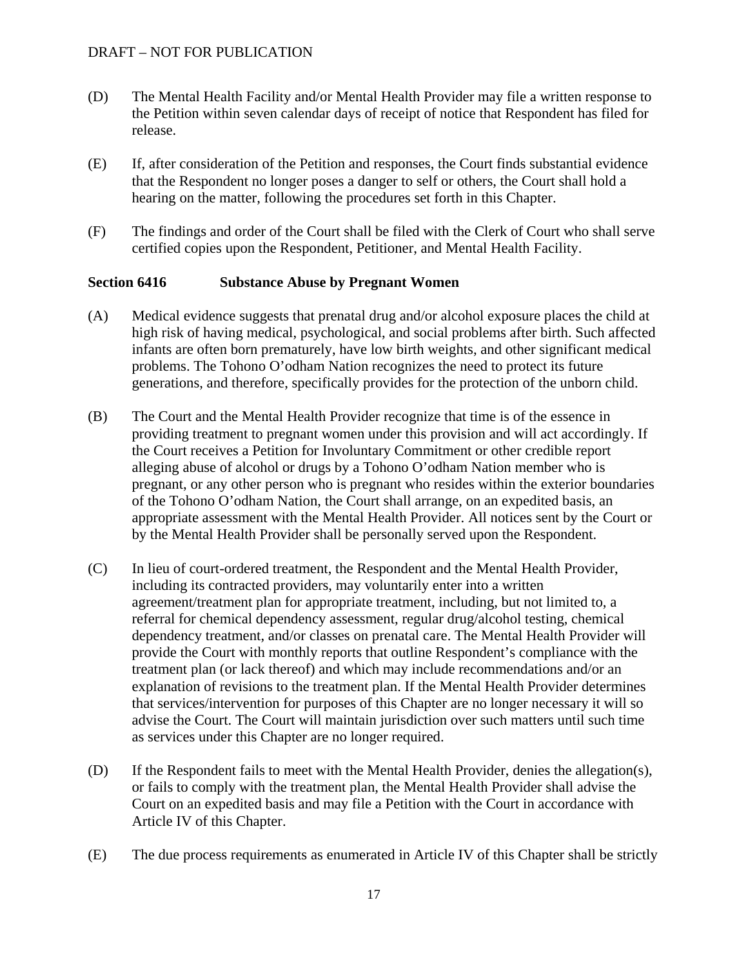- (D) The Mental Health Facility and/or Mental Health Provider may file a written response to the Petition within seven calendar days of receipt of notice that Respondent has filed for release.
- (E) If, after consideration of the Petition and responses, the Court finds substantial evidence that the Respondent no longer poses a danger to self or others, the Court shall hold a hearing on the matter, following the procedures set forth in this Chapter.
- (F) The findings and order of the Court shall be filed with the Clerk of Court who shall serve certified copies upon the Respondent, Petitioner, and Mental Health Facility.

#### **Section 6416 Substance Abuse by Pregnant Women**

- (A) Medical evidence suggests that prenatal drug and/or alcohol exposure places the child at high risk of having medical, psychological, and social problems after birth. Such affected infants are often born prematurely, have low birth weights, and other significant medical problems. The Tohono O'odham Nation recognizes the need to protect its future generations, and therefore, specifically provides for the protection of the unborn child.
- (B) The Court and the Mental Health Provider recognize that time is of the essence in providing treatment to pregnant women under this provision and will act accordingly. If the Court receives a Petition for Involuntary Commitment or other credible report alleging abuse of alcohol or drugs by a Tohono O'odham Nation member who is pregnant, or any other person who is pregnant who resides within the exterior boundaries of the Tohono O'odham Nation, the Court shall arrange, on an expedited basis, an appropriate assessment with the Mental Health Provider. All notices sent by the Court or by the Mental Health Provider shall be personally served upon the Respondent.
- (C) In lieu of court-ordered treatment, the Respondent and the Mental Health Provider, including its contracted providers, may voluntarily enter into a written agreement/treatment plan for appropriate treatment, including, but not limited to, a referral for chemical dependency assessment, regular drug/alcohol testing, chemical dependency treatment, and/or classes on prenatal care. The Mental Health Provider will provide the Court with monthly reports that outline Respondent's compliance with the treatment plan (or lack thereof) and which may include recommendations and/or an explanation of revisions to the treatment plan. If the Mental Health Provider determines that services/intervention for purposes of this Chapter are no longer necessary it will so advise the Court. The Court will maintain jurisdiction over such matters until such time as services under this Chapter are no longer required.
- (D) If the Respondent fails to meet with the Mental Health Provider, denies the allegation(s), or fails to comply with the treatment plan, the Mental Health Provider shall advise the Court on an expedited basis and may file a Petition with the Court in accordance with Article IV of this Chapter.
- (E) The due process requirements as enumerated in Article IV of this Chapter shall be strictly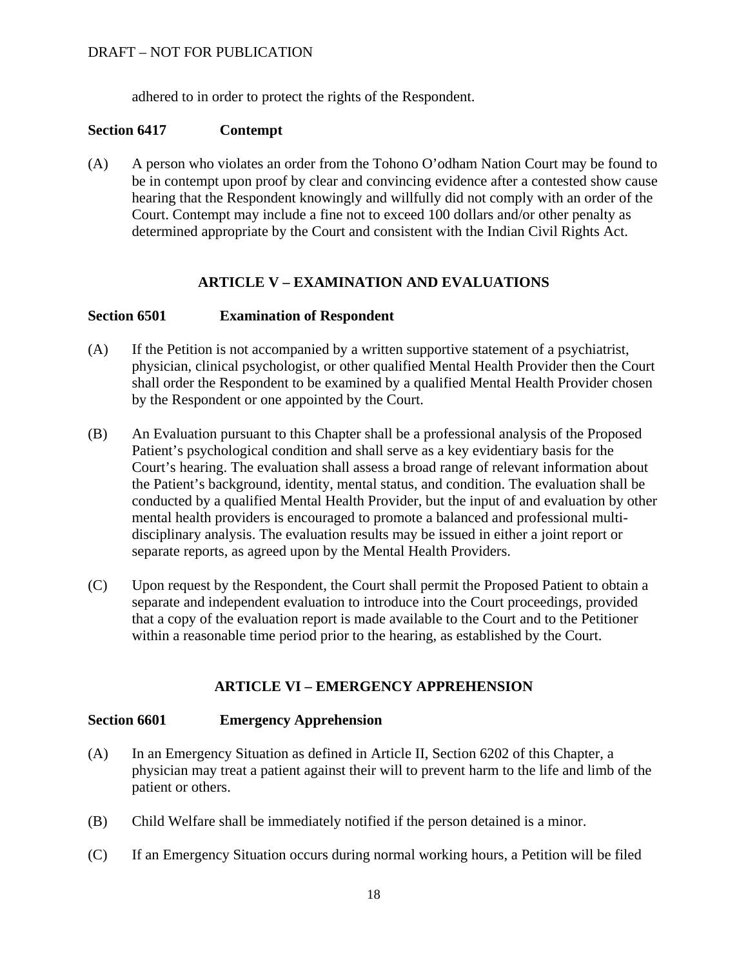adhered to in order to protect the rights of the Respondent.

### **Section 6417 Contempt**

(A) A person who violates an order from the Tohono O'odham Nation Court may be found to be in contempt upon proof by clear and convincing evidence after a contested show cause hearing that the Respondent knowingly and willfully did not comply with an order of the Court. Contempt may include a fine not to exceed 100 dollars and/or other penalty as determined appropriate by the Court and consistent with the Indian Civil Rights Act.

### **ARTICLE V – EXAMINATION AND EVALUATIONS**

### **Section 6501 Examination of Respondent**

- (A) If the Petition is not accompanied by a written supportive statement of a psychiatrist, physician, clinical psychologist, or other qualified Mental Health Provider then the Court shall order the Respondent to be examined by a qualified Mental Health Provider chosen by the Respondent or one appointed by the Court.
- (B) An Evaluation pursuant to this Chapter shall be a professional analysis of the Proposed Patient's psychological condition and shall serve as a key evidentiary basis for the Court's hearing. The evaluation shall assess a broad range of relevant information about the Patient's background, identity, mental status, and condition. The evaluation shall be conducted by a qualified Mental Health Provider, but the input of and evaluation by other mental health providers is encouraged to promote a balanced and professional multidisciplinary analysis. The evaluation results may be issued in either a joint report or separate reports, as agreed upon by the Mental Health Providers.
- (C) Upon request by the Respondent, the Court shall permit the Proposed Patient to obtain a separate and independent evaluation to introduce into the Court proceedings, provided that a copy of the evaluation report is made available to the Court and to the Petitioner within a reasonable time period prior to the hearing, as established by the Court.

### **ARTICLE VI – EMERGENCY APPREHENSION**

#### **Section 6601 Emergency Apprehension**

- (A) In an Emergency Situation as defined in Article II, Section 6202 of this Chapter, a physician may treat a patient against their will to prevent harm to the life and limb of the patient or others.
- (B) Child Welfare shall be immediately notified if the person detained is a minor.
- (C) If an Emergency Situation occurs during normal working hours, a Petition will be filed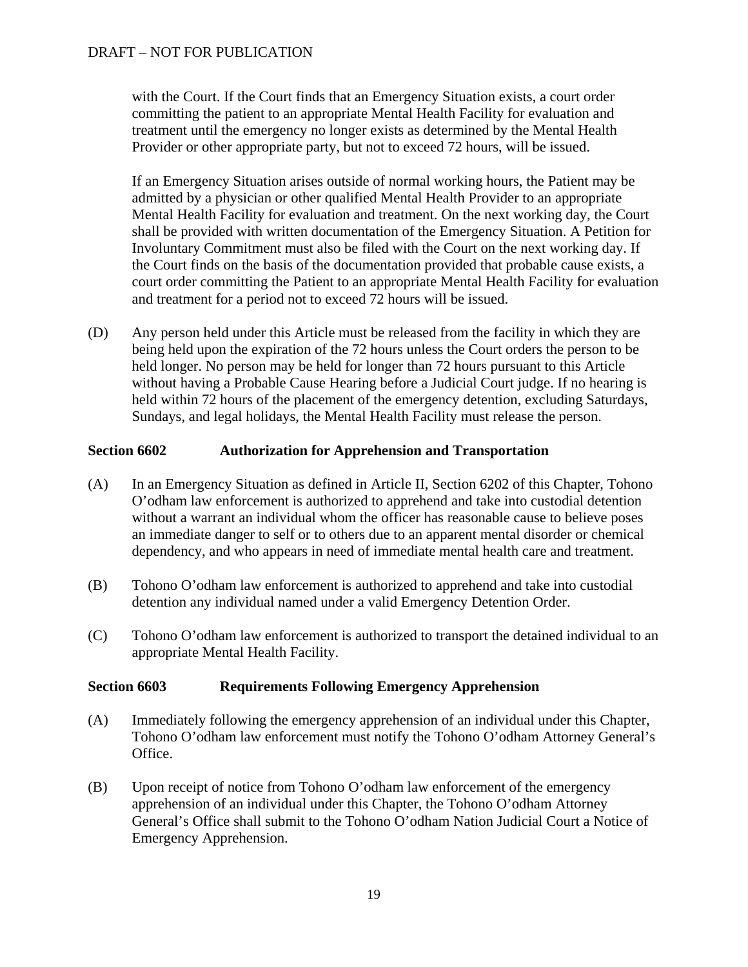### DRAFT – NOT FOR PUBLICATION

with the Court. If the Court finds that an Emergency Situation exists, a court order committing the patient to an appropriate Mental Health Facility for evaluation and treatment until the emergency no longer exists as determined by the Mental Health Provider or other appropriate party, but not to exceed 72 hours, will be issued.

If an Emergency Situation arises outside of normal working hours, the Patient may be admitted by a physician or other qualified Mental Health Provider to an appropriate Mental Health Facility for evaluation and treatment. On the next working day, the Court shall be provided with written documentation of the Emergency Situation. A Petition for Involuntary Commitment must also be filed with the Court on the next working day. If the Court finds on the basis of the documentation provided that probable cause exists, a court order committing the Patient to an appropriate Mental Health Facility for evaluation and treatment for a period not to exceed 72 hours will be issued.

(D) Any person held under this Article must be released from the facility in which they are being held upon the expiration of the 72 hours unless the Court orders the person to be held longer. No person may be held for longer than 72 hours pursuant to this Article without having a Probable Cause Hearing before a Judicial Court judge. If no hearing is held within 72 hours of the placement of the emergency detention, excluding Saturdays, Sundays, and legal holidays, the Mental Health Facility must release the person.

### **Section 6602 Authorization for Apprehension and Transportation**

- (A) In an Emergency Situation as defined in Article II, Section 6202 of this Chapter, Tohono O'odham law enforcement is authorized to apprehend and take into custodial detention without a warrant an individual whom the officer has reasonable cause to believe poses an immediate danger to self or to others due to an apparent mental disorder or chemical dependency, and who appears in need of immediate mental health care and treatment.
- (B) Tohono O'odham law enforcement is authorized to apprehend and take into custodial detention any individual named under a valid Emergency Detention Order.
- (C) Tohono O'odham law enforcement is authorized to transport the detained individual to an appropriate Mental Health Facility.

#### **Section 6603 Requirements Following Emergency Apprehension**

- (A) Immediately following the emergency apprehension of an individual under this Chapter, Tohono O'odham law enforcement must notify the Tohono O'odham Attorney General's Office.
- (B) Upon receipt of notice from Tohono O'odham law enforcement of the emergency apprehension of an individual under this Chapter, the Tohono O'odham Attorney General's Office shall submit to the Tohono O'odham Nation Judicial Court a Notice of Emergency Apprehension.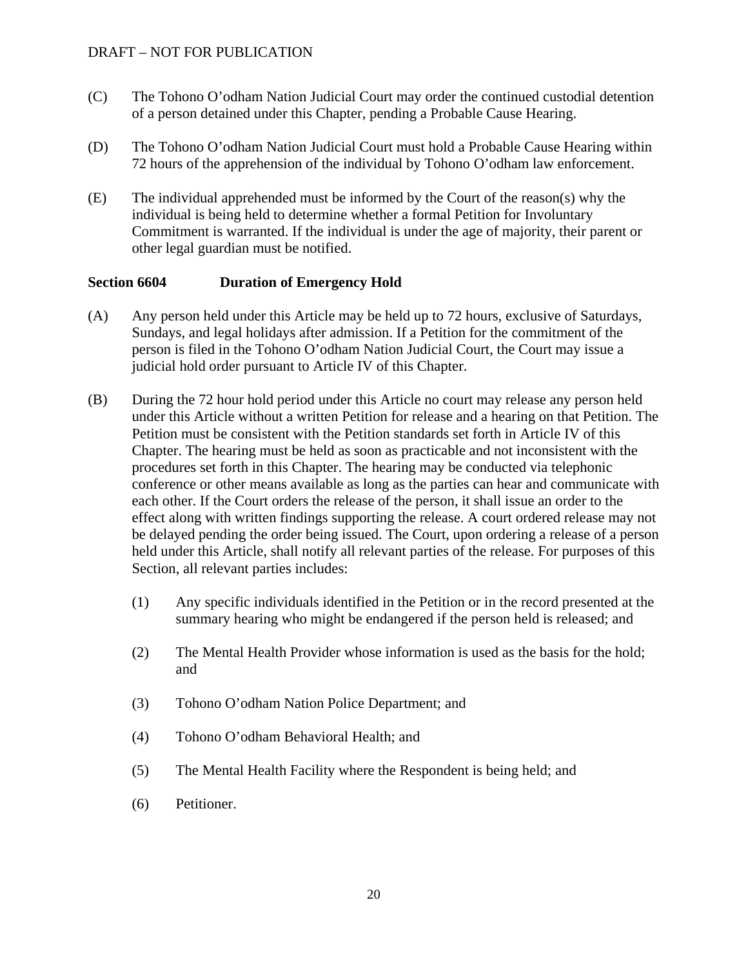### DRAFT – NOT FOR PUBLICATION

- (C) The Tohono O'odham Nation Judicial Court may order the continued custodial detention of a person detained under this Chapter, pending a Probable Cause Hearing.
- (D) The Tohono O'odham Nation Judicial Court must hold a Probable Cause Hearing within 72 hours of the apprehension of the individual by Tohono O'odham law enforcement.
- (E) The individual apprehended must be informed by the Court of the reason(s) why the individual is being held to determine whether a formal Petition for Involuntary Commitment is warranted. If the individual is under the age of majority, their parent or other legal guardian must be notified.

### **Section 6604 Duration of Emergency Hold**

- (A) Any person held under this Article may be held up to 72 hours, exclusive of Saturdays, Sundays, and legal holidays after admission. If a Petition for the commitment of the person is filed in the Tohono O'odham Nation Judicial Court, the Court may issue a judicial hold order pursuant to Article IV of this Chapter.
- (B) During the 72 hour hold period under this Article no court may release any person held under this Article without a written Petition for release and a hearing on that Petition. The Petition must be consistent with the Petition standards set forth in Article IV of this Chapter. The hearing must be held as soon as practicable and not inconsistent with the procedures set forth in this Chapter. The hearing may be conducted via telephonic conference or other means available as long as the parties can hear and communicate with each other. If the Court orders the release of the person, it shall issue an order to the effect along with written findings supporting the release. A court ordered release may not be delayed pending the order being issued. The Court, upon ordering a release of a person held under this Article, shall notify all relevant parties of the release. For purposes of this Section, all relevant parties includes:
	- (1) Any specific individuals identified in the Petition or in the record presented at the summary hearing who might be endangered if the person held is released; and
	- (2) The Mental Health Provider whose information is used as the basis for the hold; and
	- (3) Tohono O'odham Nation Police Department; and
	- (4) Tohono O'odham Behavioral Health; and
	- (5) The Mental Health Facility where the Respondent is being held; and
	- (6) Petitioner.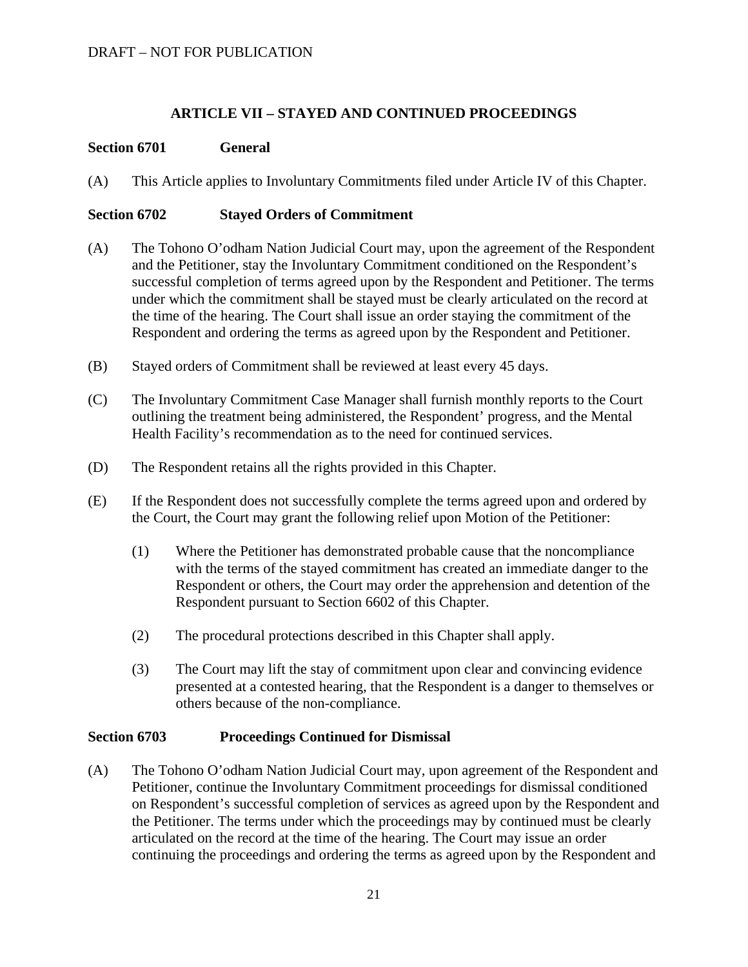### **ARTICLE VII – STAYED AND CONTINUED PROCEEDINGS**

#### **Section 6701 General**

(A) This Article applies to Involuntary Commitments filed under Article IV of this Chapter.

### **Section 6702 Stayed Orders of Commitment**

- (A) The Tohono O'odham Nation Judicial Court may, upon the agreement of the Respondent and the Petitioner, stay the Involuntary Commitment conditioned on the Respondent's successful completion of terms agreed upon by the Respondent and Petitioner. The terms under which the commitment shall be stayed must be clearly articulated on the record at the time of the hearing. The Court shall issue an order staying the commitment of the Respondent and ordering the terms as agreed upon by the Respondent and Petitioner.
- (B) Stayed orders of Commitment shall be reviewed at least every 45 days.
- (C) The Involuntary Commitment Case Manager shall furnish monthly reports to the Court outlining the treatment being administered, the Respondent' progress, and the Mental Health Facility's recommendation as to the need for continued services.
- (D) The Respondent retains all the rights provided in this Chapter.
- (E) If the Respondent does not successfully complete the terms agreed upon and ordered by the Court, the Court may grant the following relief upon Motion of the Petitioner:
	- (1) Where the Petitioner has demonstrated probable cause that the noncompliance with the terms of the stayed commitment has created an immediate danger to the Respondent or others, the Court may order the apprehension and detention of the Respondent pursuant to Section 6602 of this Chapter.
	- (2) The procedural protections described in this Chapter shall apply.
	- (3) The Court may lift the stay of commitment upon clear and convincing evidence presented at a contested hearing, that the Respondent is a danger to themselves or others because of the non-compliance.

#### **Section 6703 Proceedings Continued for Dismissal**

(A) The Tohono O'odham Nation Judicial Court may, upon agreement of the Respondent and Petitioner, continue the Involuntary Commitment proceedings for dismissal conditioned on Respondent's successful completion of services as agreed upon by the Respondent and the Petitioner. The terms under which the proceedings may by continued must be clearly articulated on the record at the time of the hearing. The Court may issue an order continuing the proceedings and ordering the terms as agreed upon by the Respondent and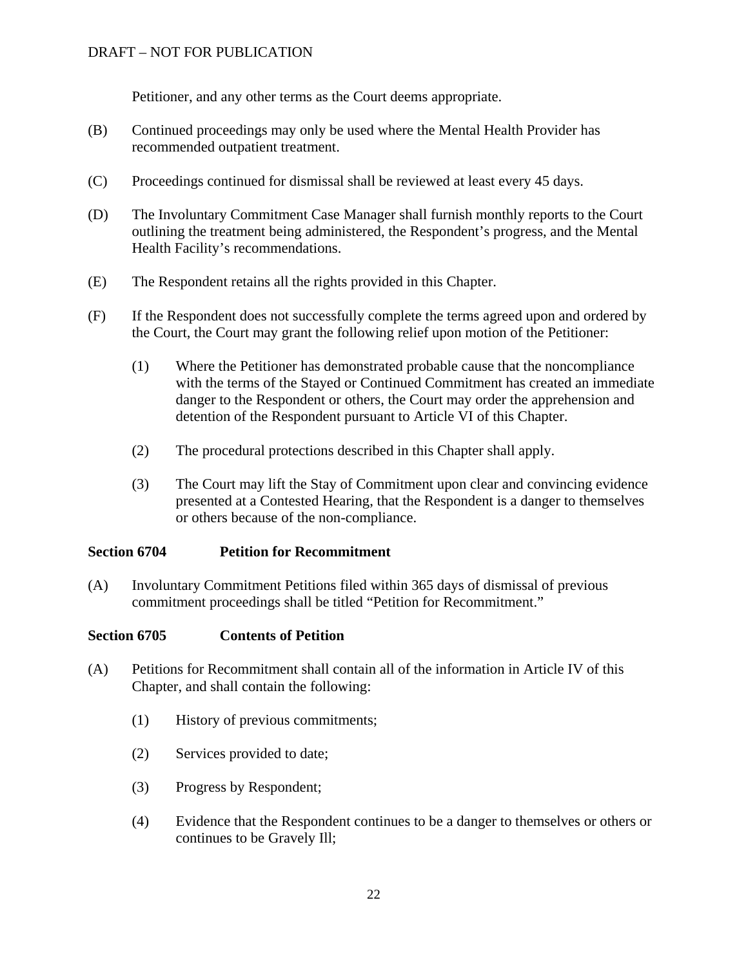Petitioner, and any other terms as the Court deems appropriate.

- (B) Continued proceedings may only be used where the Mental Health Provider has recommended outpatient treatment.
- (C) Proceedings continued for dismissal shall be reviewed at least every 45 days.
- (D) The Involuntary Commitment Case Manager shall furnish monthly reports to the Court outlining the treatment being administered, the Respondent's progress, and the Mental Health Facility's recommendations.
- (E) The Respondent retains all the rights provided in this Chapter.
- (F) If the Respondent does not successfully complete the terms agreed upon and ordered by the Court, the Court may grant the following relief upon motion of the Petitioner:
	- (1) Where the Petitioner has demonstrated probable cause that the noncompliance with the terms of the Stayed or Continued Commitment has created an immediate danger to the Respondent or others, the Court may order the apprehension and detention of the Respondent pursuant to Article VI of this Chapter.
	- (2) The procedural protections described in this Chapter shall apply.
	- (3) The Court may lift the Stay of Commitment upon clear and convincing evidence presented at a Contested Hearing, that the Respondent is a danger to themselves or others because of the non-compliance.

### **Section 6704 Petition for Recommitment**

(A) Involuntary Commitment Petitions filed within 365 days of dismissal of previous commitment proceedings shall be titled "Petition for Recommitment."

### **Section 6705 Contents of Petition**

- (A) Petitions for Recommitment shall contain all of the information in Article IV of this Chapter, and shall contain the following:
	- (1) History of previous commitments;
	- (2) Services provided to date;
	- (3) Progress by Respondent;
	- (4) Evidence that the Respondent continues to be a danger to themselves or others or continues to be Gravely Ill;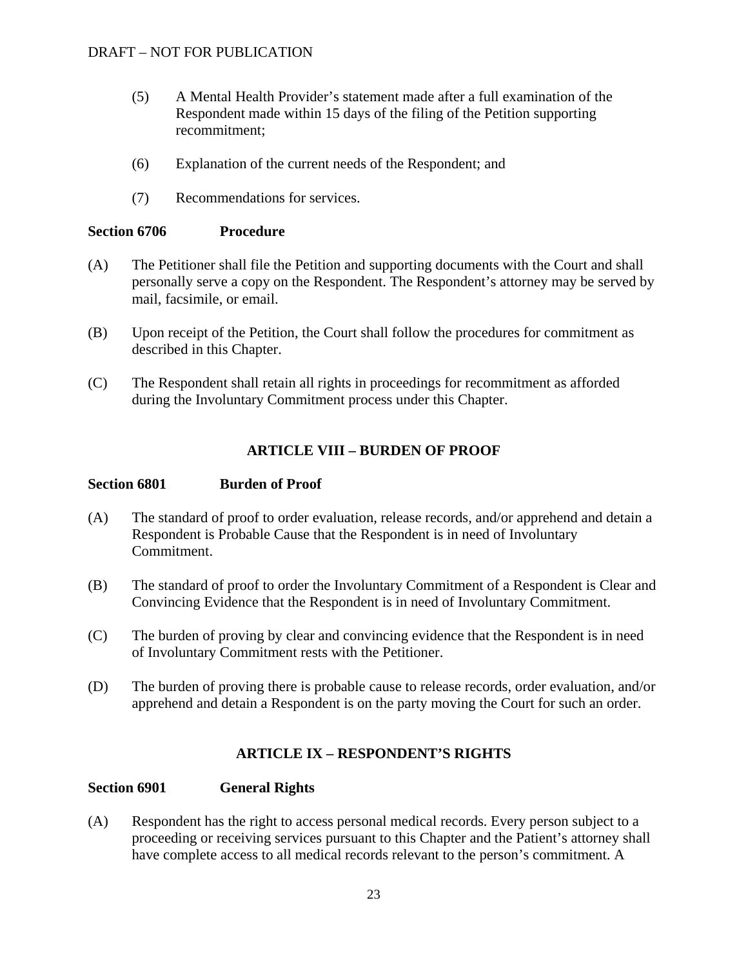- (5) A Mental Health Provider's statement made after a full examination of the Respondent made within 15 days of the filing of the Petition supporting recommitment;
- (6) Explanation of the current needs of the Respondent; and
- (7) Recommendations for services.

### **Section 6706 Procedure**

- (A) The Petitioner shall file the Petition and supporting documents with the Court and shall personally serve a copy on the Respondent. The Respondent's attorney may be served by mail, facsimile, or email.
- (B) Upon receipt of the Petition, the Court shall follow the procedures for commitment as described in this Chapter.
- (C) The Respondent shall retain all rights in proceedings for recommitment as afforded during the Involuntary Commitment process under this Chapter.

### **ARTICLE VIII – BURDEN OF PROOF**

### **Section 6801 Burden of Proof**

- (A) The standard of proof to order evaluation, release records, and/or apprehend and detain a Respondent is Probable Cause that the Respondent is in need of Involuntary Commitment.
- (B) The standard of proof to order the Involuntary Commitment of a Respondent is Clear and Convincing Evidence that the Respondent is in need of Involuntary Commitment.
- (C) The burden of proving by clear and convincing evidence that the Respondent is in need of Involuntary Commitment rests with the Petitioner.
- (D) The burden of proving there is probable cause to release records, order evaluation, and/or apprehend and detain a Respondent is on the party moving the Court for such an order.

### **ARTICLE IX – RESPONDENT'S RIGHTS**

### **Section 6901 General Rights**

(A) Respondent has the right to access personal medical records. Every person subject to a proceeding or receiving services pursuant to this Chapter and the Patient's attorney shall have complete access to all medical records relevant to the person's commitment. A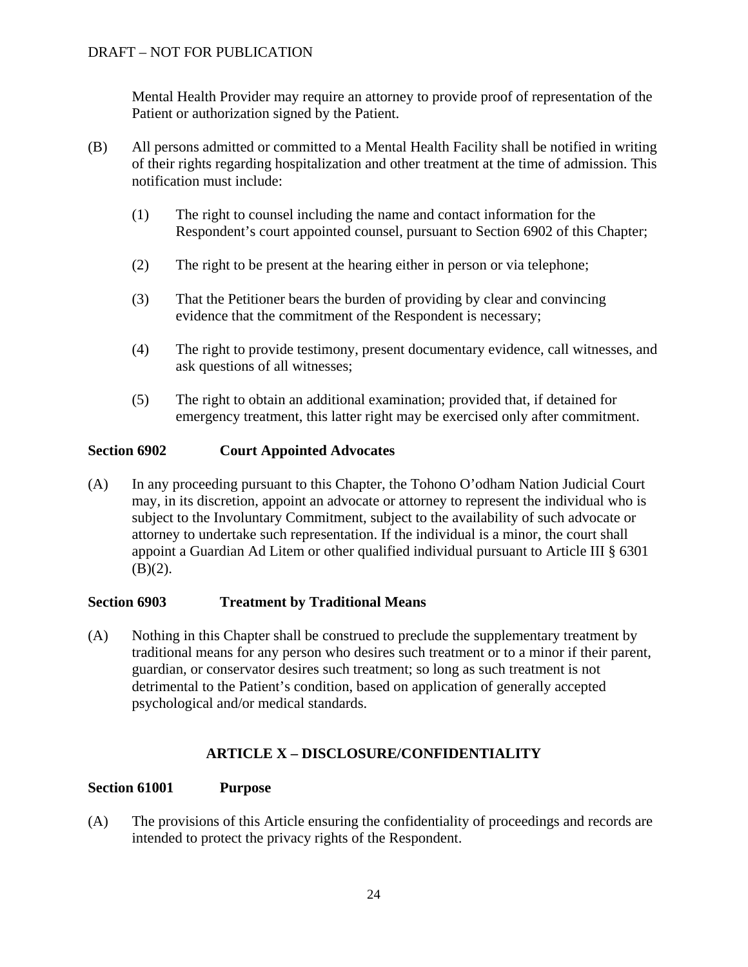Mental Health Provider may require an attorney to provide proof of representation of the Patient or authorization signed by the Patient.

- (B) All persons admitted or committed to a Mental Health Facility shall be notified in writing of their rights regarding hospitalization and other treatment at the time of admission. This notification must include:
	- (1) The right to counsel including the name and contact information for the Respondent's court appointed counsel, pursuant to Section 6902 of this Chapter;
	- (2) The right to be present at the hearing either in person or via telephone;
	- (3) That the Petitioner bears the burden of providing by clear and convincing evidence that the commitment of the Respondent is necessary;
	- (4) The right to provide testimony, present documentary evidence, call witnesses, and ask questions of all witnesses;
	- (5) The right to obtain an additional examination; provided that, if detained for emergency treatment, this latter right may be exercised only after commitment.

### **Section 6902 Court Appointed Advocates**

(A) In any proceeding pursuant to this Chapter, the Tohono O'odham Nation Judicial Court may, in its discretion, appoint an advocate or attorney to represent the individual who is subject to the Involuntary Commitment, subject to the availability of such advocate or attorney to undertake such representation. If the individual is a minor, the court shall appoint a Guardian Ad Litem or other qualified individual pursuant to Article III § 6301  $(B)(2)$ .

### **Section 6903 Treatment by Traditional Means**

(A) Nothing in this Chapter shall be construed to preclude the supplementary treatment by traditional means for any person who desires such treatment or to a minor if their parent, guardian, or conservator desires such treatment; so long as such treatment is not detrimental to the Patient's condition, based on application of generally accepted psychological and/or medical standards.

### **ARTICLE X – DISCLOSURE/CONFIDENTIALITY**

### **Section 61001 Purpose**

(A) The provisions of this Article ensuring the confidentiality of proceedings and records are intended to protect the privacy rights of the Respondent.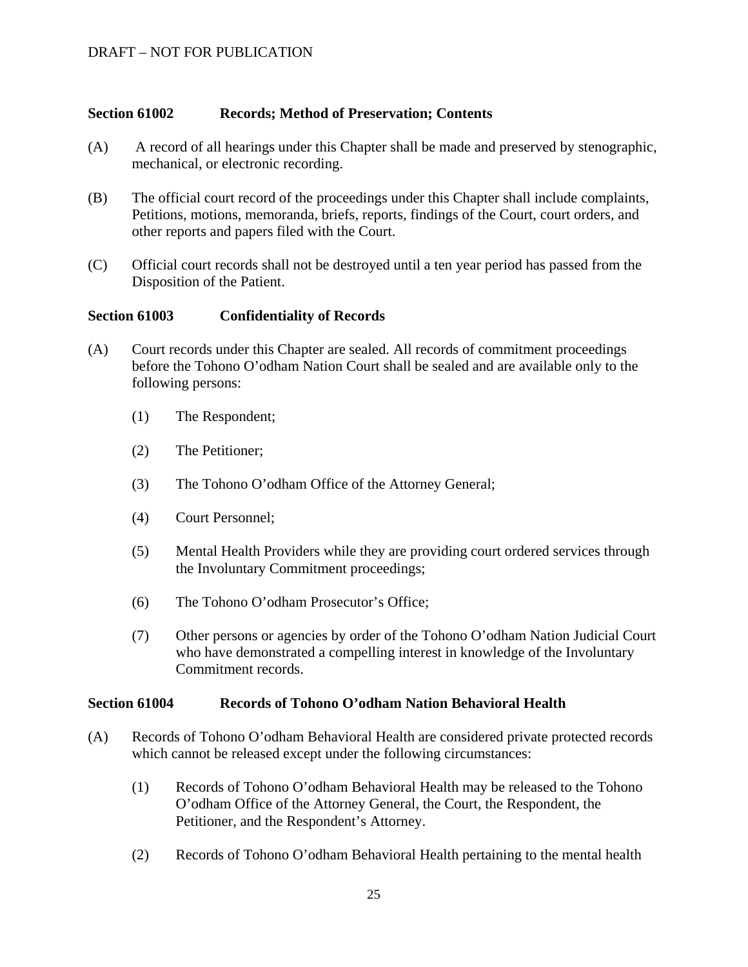### **Section 61002 Records; Method of Preservation; Contents**

- (A) A record of all hearings under this Chapter shall be made and preserved by stenographic, mechanical, or electronic recording.
- (B) The official court record of the proceedings under this Chapter shall include complaints, Petitions, motions, memoranda, briefs, reports, findings of the Court, court orders, and other reports and papers filed with the Court.
- (C) Official court records shall not be destroyed until a ten year period has passed from the Disposition of the Patient.

### **Section 61003 Confidentiality of Records**

- (A) Court records under this Chapter are sealed. All records of commitment proceedings before the Tohono O'odham Nation Court shall be sealed and are available only to the following persons:
	- (1) The Respondent;
	- (2) The Petitioner;
	- (3) The Tohono O'odham Office of the Attorney General;
	- (4) Court Personnel;
	- (5) Mental Health Providers while they are providing court ordered services through the Involuntary Commitment proceedings;
	- (6) The Tohono O'odham Prosecutor's Office;
	- (7) Other persons or agencies by order of the Tohono O'odham Nation Judicial Court who have demonstrated a compelling interest in knowledge of the Involuntary Commitment records.

#### **Section 61004 Records of Tohono O'odham Nation Behavioral Health**

- (A) Records of Tohono O'odham Behavioral Health are considered private protected records which cannot be released except under the following circumstances:
	- (1) Records of Tohono O'odham Behavioral Health may be released to the Tohono O'odham Office of the Attorney General, the Court, the Respondent, the Petitioner, and the Respondent's Attorney.
	- (2) Records of Tohono O'odham Behavioral Health pertaining to the mental health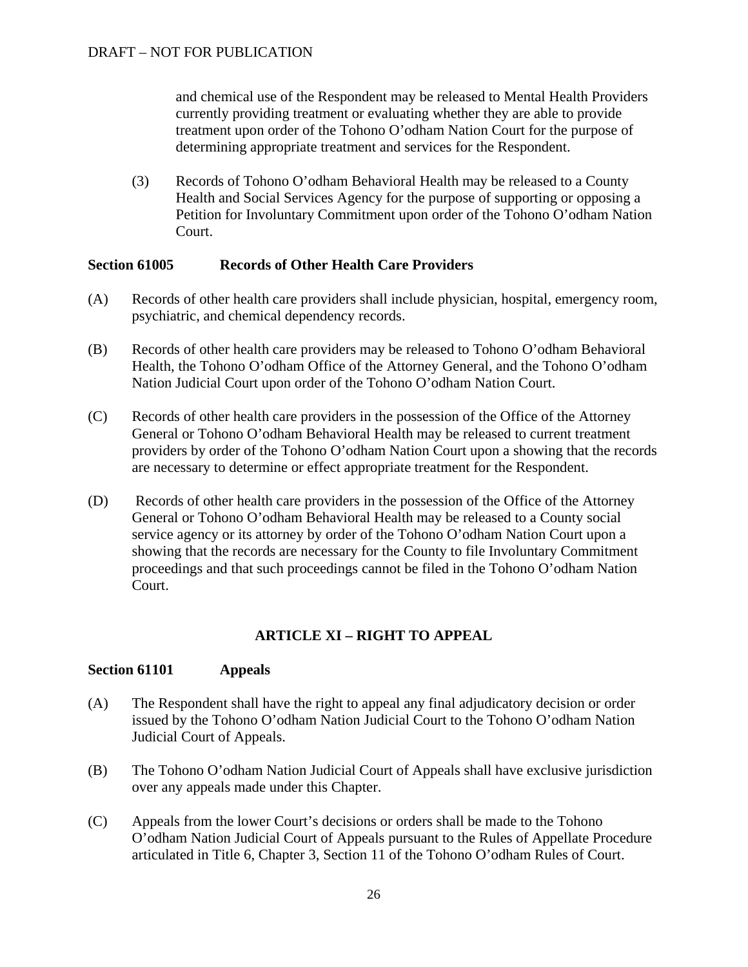and chemical use of the Respondent may be released to Mental Health Providers currently providing treatment or evaluating whether they are able to provide treatment upon order of the Tohono O'odham Nation Court for the purpose of determining appropriate treatment and services for the Respondent.

(3) Records of Tohono O'odham Behavioral Health may be released to a County Health and Social Services Agency for the purpose of supporting or opposing a Petition for Involuntary Commitment upon order of the Tohono O'odham Nation Court.

### **Section 61005 Records of Other Health Care Providers**

- (A) Records of other health care providers shall include physician, hospital, emergency room, psychiatric, and chemical dependency records.
- (B) Records of other health care providers may be released to Tohono O'odham Behavioral Health, the Tohono O'odham Office of the Attorney General, and the Tohono O'odham Nation Judicial Court upon order of the Tohono O'odham Nation Court.
- (C) Records of other health care providers in the possession of the Office of the Attorney General or Tohono O'odham Behavioral Health may be released to current treatment providers by order of the Tohono O'odham Nation Court upon a showing that the records are necessary to determine or effect appropriate treatment for the Respondent.
- (D) Records of other health care providers in the possession of the Office of the Attorney General or Tohono O'odham Behavioral Health may be released to a County social service agency or its attorney by order of the Tohono O'odham Nation Court upon a showing that the records are necessary for the County to file Involuntary Commitment proceedings and that such proceedings cannot be filed in the Tohono O'odham Nation Court.

### **ARTICLE XI – RIGHT TO APPEAL**

### **Section 61101 Appeals**

- (A) The Respondent shall have the right to appeal any final adjudicatory decision or order issued by the Tohono O'odham Nation Judicial Court to the Tohono O'odham Nation Judicial Court of Appeals.
- (B) The Tohono O'odham Nation Judicial Court of Appeals shall have exclusive jurisdiction over any appeals made under this Chapter.
- (C) Appeals from the lower Court's decisions or orders shall be made to the Tohono O'odham Nation Judicial Court of Appeals pursuant to the Rules of Appellate Procedure articulated in Title 6, Chapter 3, Section 11 of the Tohono O'odham Rules of Court.